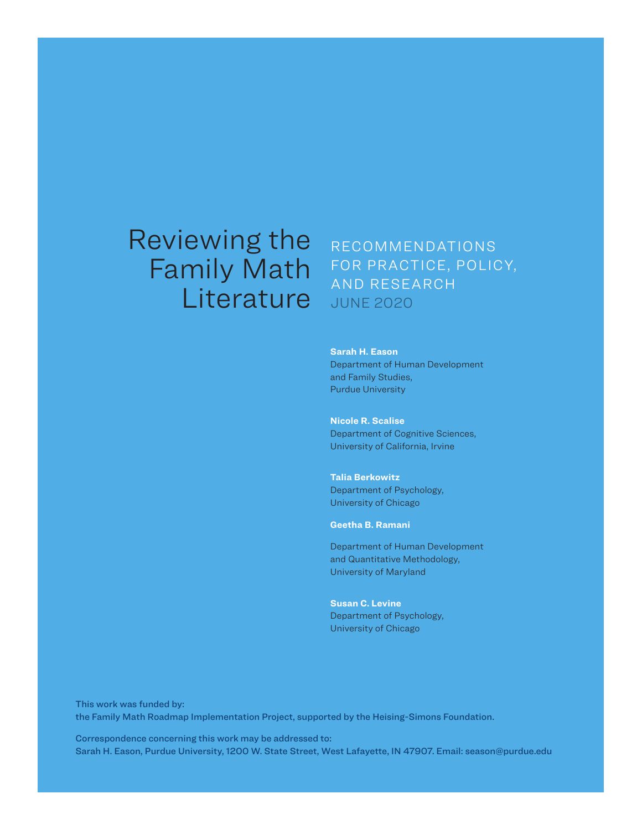# Reviewing the Family Math **Literature**

# RECOMMENDATIONS FOR PRACTICE, POLICY, AND RESEARCH JUNE 2020

**Sarah H. Eason** Department of Human Development and Family Studies, Purdue University

**Nicole R. Scalise**  Department of Cognitive Sciences, University of California, Irvine

**Talia Berkowitz**  Department of Psychology, University of Chicago

**Geetha B. Ramani** 

Department of Human Development and Quantitative Methodology, University of Maryland

**Susan C. Levine** Department of Psychology, University of Chicago

This work was funded by: the Family Math Roadmap Implementation Project, supported by the Heising-Simons Foundation.

Correspondence concerning this work may be addressed to: Sarah H. Eason, Purdue University, 1200 W. State Street, West Lafayette, IN 47907. Email: season@purdue.edu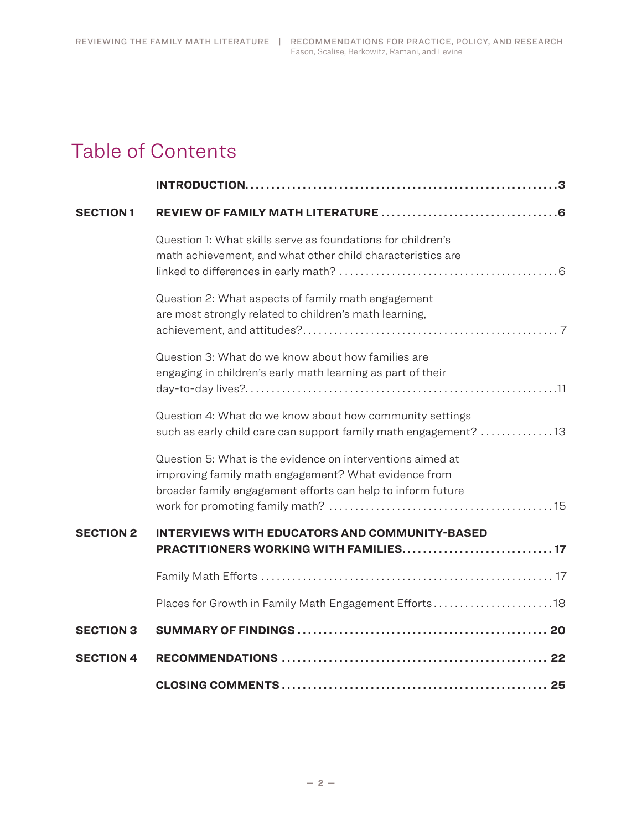# Table of Contents

| <b>SECTION1</b>  |                                                                                                                                                                                   |  |
|------------------|-----------------------------------------------------------------------------------------------------------------------------------------------------------------------------------|--|
|                  | Question 1: What skills serve as foundations for children's<br>math achievement, and what other child characteristics are                                                         |  |
|                  | Question 2: What aspects of family math engagement<br>are most strongly related to children's math learning,                                                                      |  |
|                  | Question 3: What do we know about how families are<br>engaging in children's early math learning as part of their                                                                 |  |
|                  | Question 4: What do we know about how community settings<br>such as early child care can support family math engagement? 13                                                       |  |
|                  | Question 5: What is the evidence on interventions aimed at<br>improving family math engagement? What evidence from<br>broader family engagement efforts can help to inform future |  |
| <b>SECTION 2</b> | <b>INTERVIEWS WITH EDUCATORS AND COMMUNITY-BASED</b><br>PRACTITIONERS WORKING WITH FAMILIES 17                                                                                    |  |
|                  |                                                                                                                                                                                   |  |
|                  | Places for Growth in Family Math Engagement Efforts18                                                                                                                             |  |
| <b>SECTION 3</b> |                                                                                                                                                                                   |  |
| <b>SECTION 4</b> |                                                                                                                                                                                   |  |
|                  |                                                                                                                                                                                   |  |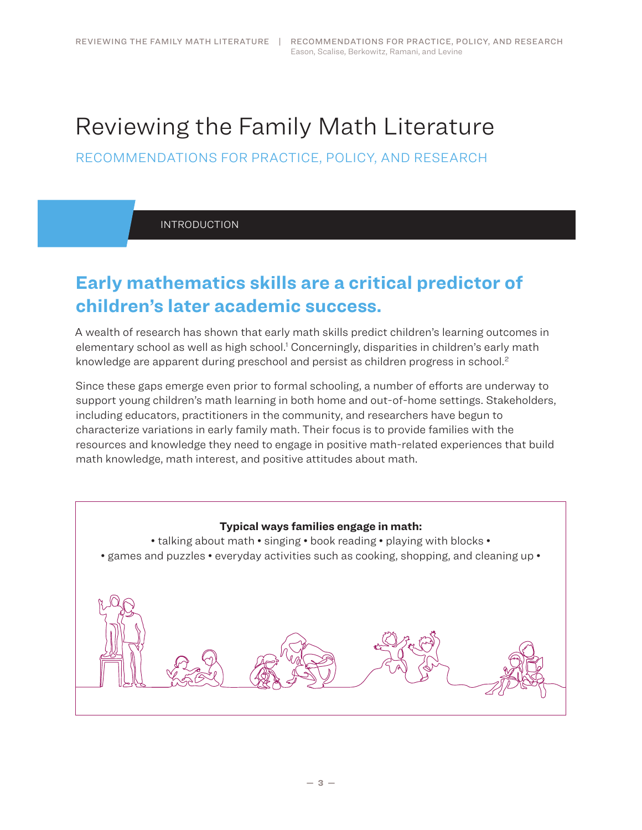# <span id="page-2-0"></span>Reviewing the Family Math Literature

RECOMMENDATIONS FOR PRACTICE, POLICY, AND RESEARCH

INTRODUCTION

# **Early mathematics skills are a critical predictor of children's later academic success.**

A wealth of research has shown that early math skills predict children's learning outcomes in elementary school as well as high school.<sup>1</sup> Concerningly, disparities in children's early math knowledge are apparent during preschool and persist as children progress in school. 2

Since these gaps emerge even prior to formal schooling, a number of efforts are underway to support young children's math learning in both home and out-of-home settings. Stakeholders, including educators, practitioners in the community, and researchers have begun to characterize variations in early family math. Their focus is to provide families with the resources and knowledge they need to engage in positive math-related experiences that build math knowledge, math interest, and positive attitudes about math.

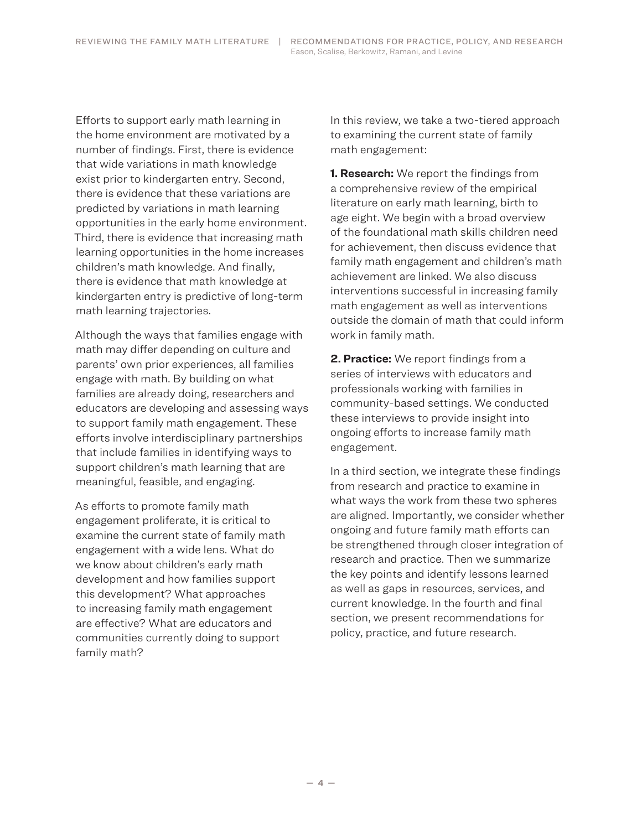Efforts to support early math learning in the home environment are motivated by a number of findings. First, there is evidence that wide variations in math knowledge exist prior to kindergarten entry. Second, there is evidence that these variations are predicted by variations in math learning opportunities in the early home environment. Third, there is evidence that increasing math learning opportunities in the home increases children's math knowledge. And finally, there is evidence that math knowledge at kindergarten entry is predictive of long-term math learning trajectories.

Although the ways that families engage with math may differ depending on culture and parents' own prior experiences, all families engage with math. By building on what families are already doing, researchers and educators are developing and assessing ways to support family math engagement. These efforts involve interdisciplinary partnerships that include families in identifying ways to support children's math learning that are meaningful, feasible, and engaging.

As efforts to promote family math engagement proliferate, it is critical to examine the current state of family math engagement with a wide lens. What do we know about children's early math development and how families support this development? What approaches to increasing family math engagement are effective? What are educators and communities currently doing to support family math?

In this review, we take a two-tiered approach to examining the current state of family math engagement:

**1. Research:** We report the findings from a comprehensive review of the empirical literature on early math learning, birth to age eight. We begin with a broad overview of the foundational math skills children need for achievement, then discuss evidence that family math engagement and children's math achievement are linked. We also discuss interventions successful in increasing family math engagement as well as interventions outside the domain of math that could inform work in family math.

**2. Practice:** We report findings from a series of interviews with educators and professionals working with families in community-based settings. We conducted these interviews to provide insight into ongoing efforts to increase family math engagement.

In a third section, we integrate these findings from research and practice to examine in what ways the work from these two spheres are aligned. Importantly, we consider whether ongoing and future family math efforts can be strengthened through closer integration of research and practice. Then we summarize the key points and identify lessons learned as well as gaps in resources, services, and current knowledge. In the fourth and final section, we present recommendations for policy, practice, and future research.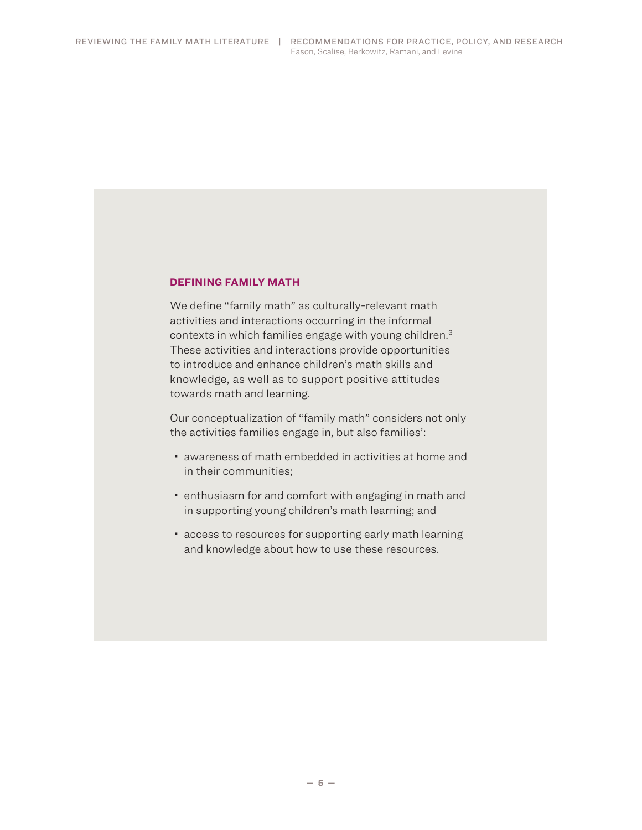#### **DEFINING FAMILY MATH**

We define "family math" as culturally-relevant math activities and interactions occurring in the informal contexts in which families engage with young children. 3 These activities and interactions provide opportunities to introduce and enhance children's math skills and knowledge, as well as to support positive attitudes towards math and learning.

Our conceptualization of "family math" considers not only the activities families engage in, but also families':

- awareness of math embedded in activities at home and in their communities;
- enthusiasm for and comfort with engaging in math and in supporting young children's math learning; and
- access to resources for supporting early math learning and knowledge about how to use these resources.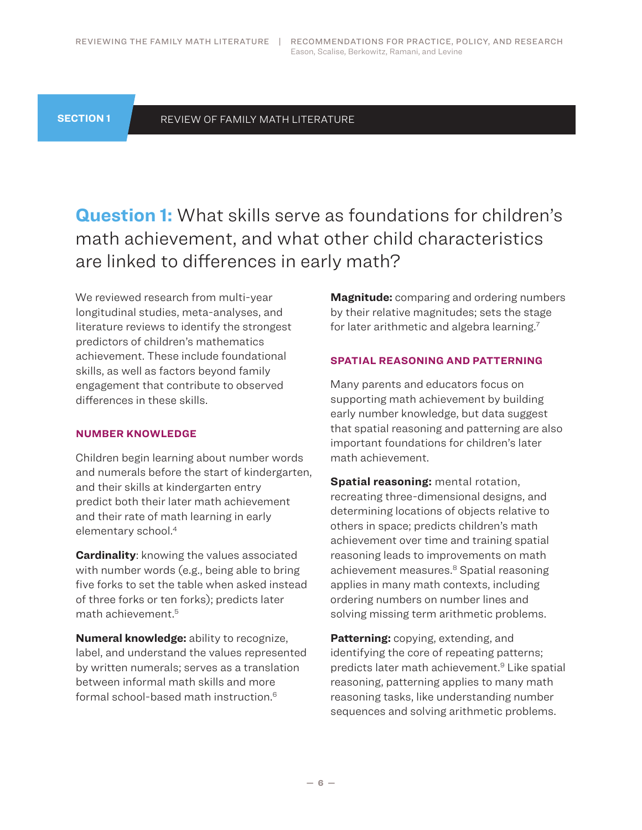<span id="page-5-0"></span>**SECTION 1**

#### REVIEW OF FAMILY MATH LITERATURE

**Question 1:** What skills serve as foundations for children's math achievement, and what other child characteristics are linked to differences in early math?

We reviewed research from multi-year longitudinal studies, meta-analyses, and literature reviews to identify the strongest predictors of children's mathematics achievement. These include foundational skills, as well as factors beyond family engagement that contribute to observed differences in these skills.

#### **NUMBER KNOWLEDGE**

Children begin learning about number words and numerals before the start of kindergarten, and their skills at kindergarten entry predict both their later math achievement and their rate of math learning in early elementary school. 4

**Cardinality**: knowing the values associated with number words (e.g., being able to bring five forks to set the table when asked instead of three forks or ten forks); predicts later math achievement. 5

**Numeral knowledge:** ability to recognize, label, and understand the values represented by written numerals; serves as a translation between informal math skills and more formal school-based math instruction. 6

**Magnitude:** comparing and ordering numbers by their relative magnitudes; sets the stage for later arithmetic and algebra learning. 7

#### **SPATIAL REASONING AND PATTERNING**

Many parents and educators focus on supporting math achievement by building early number knowledge, but data suggest that spatial reasoning and patterning are also important foundations for children's later math achievement.

**Spatial reasoning:** mental rotation, recreating three-dimensional designs, and determining locations of objects relative to others in space; predicts children's math achievement over time and training spatial reasoning leads to improvements on math achievement measures. 8 Spatial reasoning applies in many math contexts, including ordering numbers on number lines and solving missing term arithmetic problems.

**Patterning:** copying, extending, and identifying the core of repeating patterns; predicts later math achievement. 9 Like spatial reasoning, patterning applies to many math reasoning tasks, like understanding number sequences and solving arithmetic problems.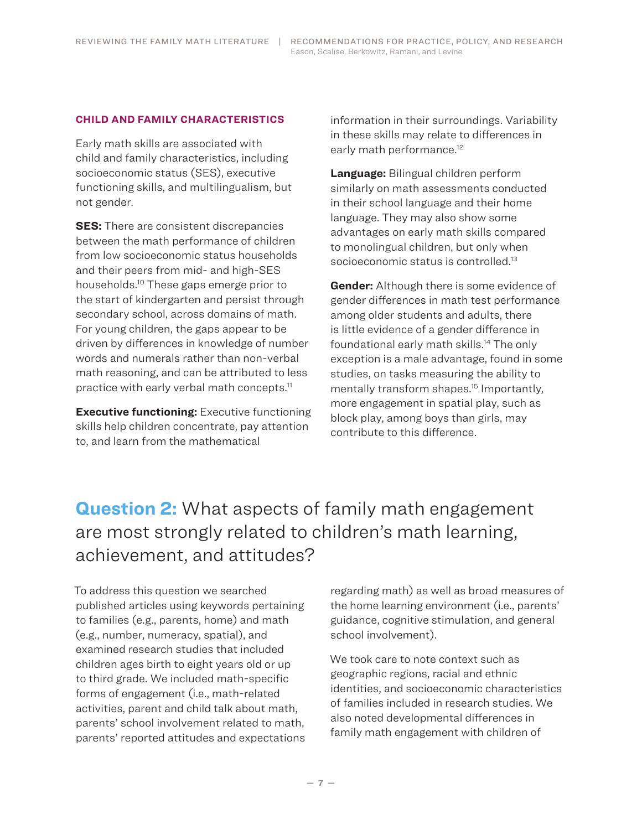#### <span id="page-6-0"></span>**CHILD AND FAMILY CHARACTERISTICS**

Early math skills are associated with child and family characteristics, including socioeconomic status (SES), executive functioning skills, and multilingualism, but not gender.

**SES:** There are consistent discrepancies between the math performance of children from low socioeconomic status households and their peers from mid- and high-SES households. 10 These gaps emerge prior to the start of kindergarten and persist through secondary school, across domains of math. For young children, the gaps appear to be driven by differences in knowledge of number words and numerals rather than non-verbal math reasoning, and can be attributed to less practice with early verbal math concepts. 11

**Executive functioning:** Executive functioning skills help children concentrate, pay attention to, and learn from the mathematical

information in their surroundings. Variability in these skills may relate to differences in early math performance. 12

**Language:** Bilingual children perform similarly on math assessments conducted in their school language and their home language. They may also show some advantages on early math skills compared to monolingual children, but only when socioeconomic status is controlled.<sup>13</sup>

**Gender:** Although there is some evidence of gender differences in math test performance among older students and adults, there is little evidence of a gender difference in foundational early math skills. 14 The only exception is a male advantage, found in some studies, on tasks measuring the ability to mentally transform shapes. 15 Importantly, more engagement in spatial play, such as block play, among boys than girls, may contribute to this difference.

# **Question 2:** What aspects of family math engagement are most strongly related to children's math learning, achievement, and attitudes?

To address this question we searched published articles using keywords pertaining to families (e.g., parents, home) and math (e.g., number, numeracy, spatial), and examined research studies that included children ages birth to eight years old or up to third grade. We included math-specific forms of engagement (i.e., math-related activities, parent and child talk about math, parents' school involvement related to math, parents' reported attitudes and expectations regarding math) as well as broad measures of the home learning environment (i.e., parents' guidance, cognitive stimulation, and general school involvement).

We took care to note context such as geographic regions, racial and ethnic identities, and socioeconomic characteristics of families included in research studies. We also noted developmental differences in family math engagement with children of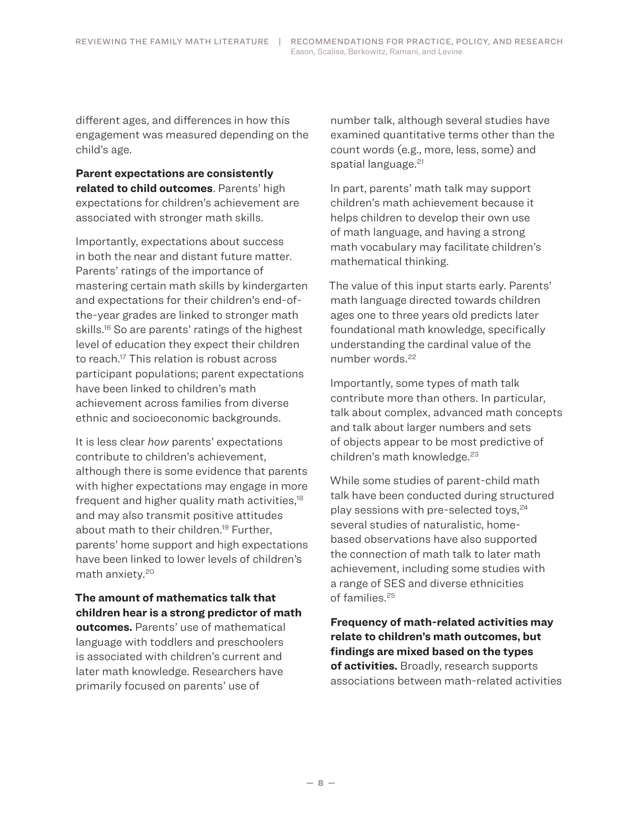different ages, and differences in how this engagement was measured depending on the child's age.

**Parent expectations are consistently related to child outcomes**. Parents' high expectations for children's achievement are associated with stronger math skills.

Importantly, expectations about success in both the near and distant future matter. Parents' ratings of the importance of mastering certain math skills by kindergarten and expectations for their children's end-ofthe-year grades are linked to stronger math skills. 16 So are parents' ratings of the highest level of education they expect their children to reach. 17 This relation is robust across participant populations; parent expectations have been linked to children's math achievement across families from diverse ethnic and socioeconomic backgrounds.

It is less clear *how* parents' expectations contribute to children's achievement, although there is some evidence that parents with higher expectations may engage in more frequent and higher quality math activities,<sup>18</sup> and may also transmit positive attitudes about math to their children. 19 Further, parents' home support and high expectations have been linked to lower levels of children's math anxiety. 20

**The amount of mathematics talk that children hear is a strong predictor of math outcomes.** Parents' use of mathematical language with toddlers and preschoolers is associated with children's current and later math knowledge. Researchers have primarily focused on parents' use of

number talk, although several studies have examined quantitative terms other than the count words (e.g., more, less, some) and spatial language. 21

In part, parents' math talk may support children's math achievement because it helps children to develop their own use of math language, and having a strong math vocabulary may facilitate children's mathematical thinking.

The value of this input starts early. Parents' math language directed towards children ages one to three years old predicts later foundational math knowledge, specifically understanding the cardinal value of the number words. 22

Importantly, some types of math talk contribute more than others. In particular, talk about complex, advanced math concepts and talk about larger numbers and sets of objects appear to be most predictive of children's math knowledge. 23

While some studies of parent-child math talk have been conducted during structured play sessions with pre-selected toys, $24$ several studies of naturalistic, homebased observations have also supported the connection of math talk to later math achievement, including some studies with a range of SES and diverse ethnicities of families. 25

**Frequency of math-related activities may relate to children's math outcomes, but findings are mixed based on the types of activities.** Broadly, research supports associations between math-related activities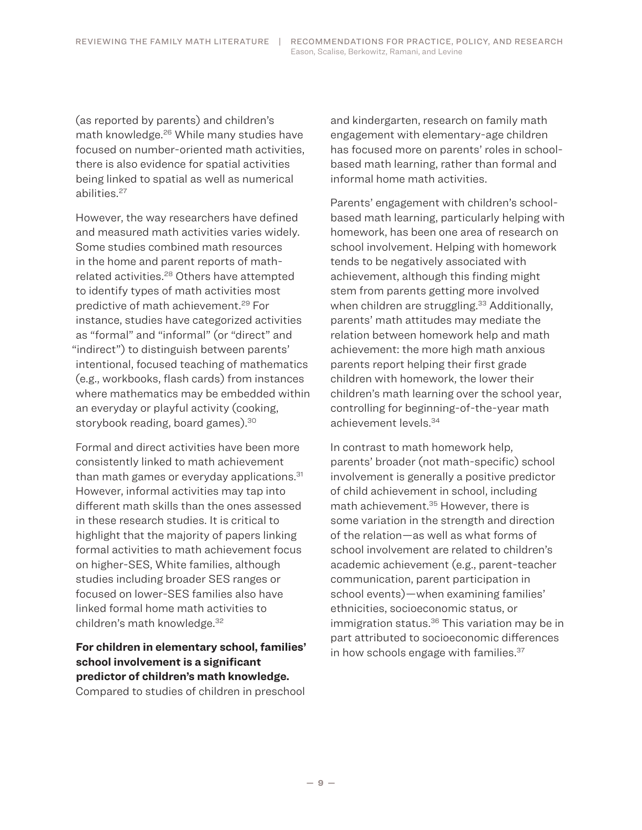(as reported by parents) and children's math knowledge. 26 While many studies have focused on number-oriented math activities, there is also evidence for spatial activities being linked to spatial as well as numerical abilities. 27

However, the way researchers have defined and measured math activities varies widely. Some studies combined math resources in the home and parent reports of mathrelated activities. 28 Others have attempted to identify types of math activities most predictive of math achievement. 29 For instance, studies have categorized activities as "formal" and "informal" (or "direct" and "indirect") to distinguish between parents' intentional, focused teaching of mathematics (e.g., workbooks, flash cards) from instances where mathematics may be embedded within an everyday or playful activity (cooking, storybook reading, board games). 30

Formal and direct activities have been more consistently linked to math achievement than math games or everyday applications. 31 However, informal activities may tap into different math skills than the ones assessed in these research studies. It is critical to highlight that the majority of papers linking formal activities to math achievement focus on higher-SES, White families, although studies including broader SES ranges or focused on lower-SES families also have linked formal home math activities to children's math knowledge. 32

**For children in elementary school, families' school involvement is a significant predictor of children's math knowledge.** Compared to studies of children in preschool

and kindergarten, research on family math engagement with elementary-age children has focused more on parents' roles in schoolbased math learning, rather than formal and informal home math activities.

Parents' engagement with children's schoolbased math learning, particularly helping with homework, has been one area of research on school involvement. Helping with homework tends to be negatively associated with achievement, although this finding might stem from parents getting more involved when children are struggling. 33 Additionally, parents' math attitudes may mediate the relation between homework help and math achievement: the more high math anxious parents report helping their first grade children with homework, the lower their children's math learning over the school year, controlling for beginning-of-the-year math achievement levels. 34

In contrast to math homework help, parents' broader (not math-specific) school involvement is generally a positive predictor of child achievement in school, including math achievement. 35 However, there is some variation in the strength and direction of the relation—as well as what forms of school involvement are related to children's academic achievement (e.g., parent-teacher communication, parent participation in school events)—when examining families' ethnicities, socioeconomic status, or immigration status. 36 This variation may be in part attributed to socioeconomic differences in how schools engage with families. 37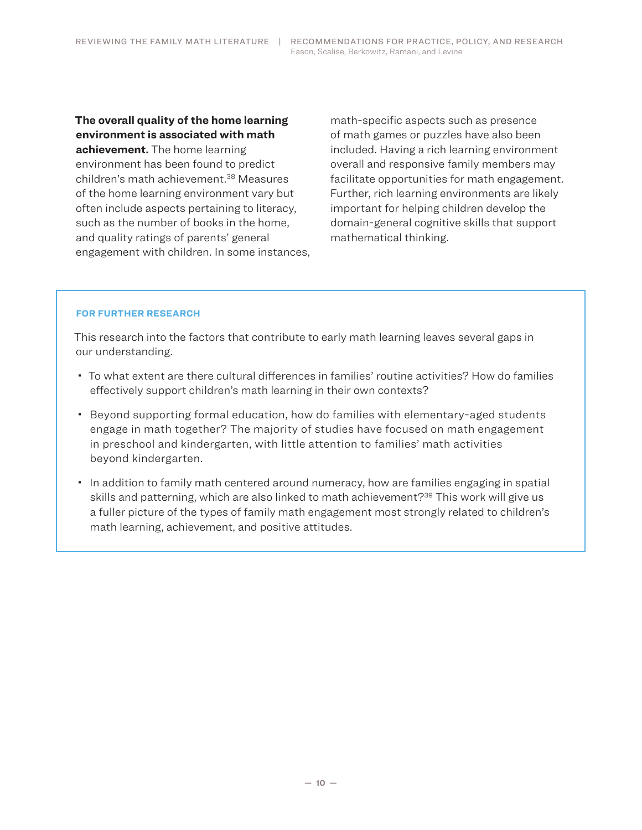**The overall quality of the home learning environment is associated with math achievement.** The home learning environment has been found to predict children's math achievement. 38 Measures of the home learning environment vary but often include aspects pertaining to literacy, such as the number of books in the home, and quality ratings of parents' general engagement with children. In some instances, math-specific aspects such as presence of math games or puzzles have also been included. Having a rich learning environment overall and responsive family members may facilitate opportunities for math engagement. Further, rich learning environments are likely important for helping children develop the domain-general cognitive skills that support mathematical thinking.

#### **FOR FURTHER RESEARCH**

This research into the factors that contribute to early math learning leaves several gaps in our understanding.

- To what extent are there cultural differences in families' routine activities? How do families effectively support children's math learning in their own contexts?
- Beyond supporting formal education, how do families with elementary-aged students engage in math together? The majority of studies have focused on math engagement in preschool and kindergarten, with little attention to families' math activities beyond kindergarten.
- In addition to family math centered around numeracy, how are families engaging in spatial skills and patterning, which are also linked to math achievement?<sup>39</sup> This work will give us a fuller picture of the types of family math engagement most strongly related to children's math learning, achievement, and positive attitudes.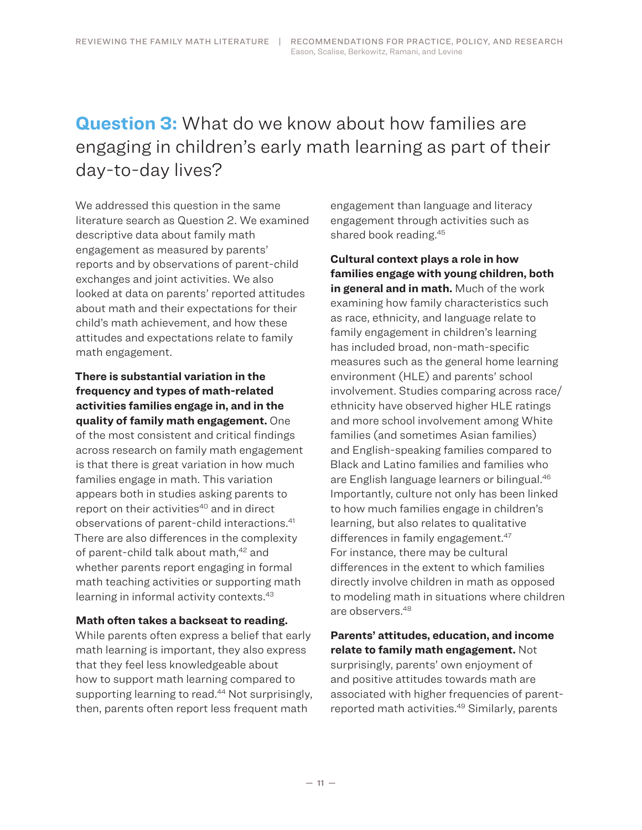# <span id="page-10-0"></span>**Question 3:** What do we know about how families are engaging in children's early math learning as part of their day‑to‑day lives?

We addressed this question in the same literature search as Question 2. We examined descriptive data about family math engagement as measured by parents' reports and by observations of parent-child exchanges and joint activities. We also looked at data on parents' reported attitudes about math and their expectations for their child's math achievement, and how these attitudes and expectations relate to family math engagement.

**There is substantial variation in the frequency and types of math-related activities families engage in, and in the quality of family math engagement.** One of the most consistent and critical findings across research on family math engagement is that there is great variation in how much families engage in math. This variation appears both in studies asking parents to report on their activities<sup>40</sup> and in direct observations of parent-child interactions. 41 There are also differences in the complexity of parent-child talk about math,<sup>42</sup> and whether parents report engaging in formal math teaching activities or supporting math learning in informal activity contexts. 43

#### **Math often takes a backseat to reading.**

While parents often express a belief that early math learning is important, they also express that they feel less knowledgeable about how to support math learning compared to supporting learning to read. 44 Not surprisingly, then, parents often report less frequent math

engagement than language and literacy engagement through activities such as shared book reading. 45

**Cultural context plays a role in how families engage with young children, both in general and in math.** Much of the work examining how family characteristics such as race, ethnicity, and language relate to family engagement in children's learning has included broad, non-math-specific measures such as the general home learning environment (HLE) and parents' school involvement. Studies comparing across race/ ethnicity have observed higher HLE ratings and more school involvement among White families (and sometimes Asian families) and English-speaking families compared to Black and Latino families and families who are English language learners or bilingual. 46 Importantly, culture not only has been linked to how much families engage in children's learning, but also relates to qualitative differences in family engagement. 47 For instance, there may be cultural differences in the extent to which families directly involve children in math as opposed to modeling math in situations where children are observers. 48

**Parents' attitudes, education, and income relate to family math engagement.** Not surprisingly, parents' own enjoyment of and positive attitudes towards math are associated with higher frequencies of parentreported math activities. 49 Similarly, parents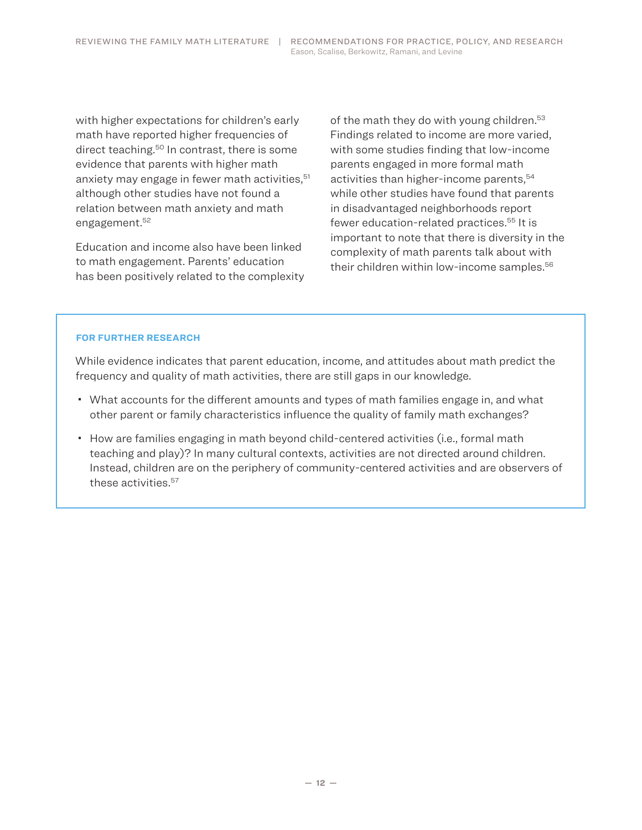with higher expectations for children's early math have reported higher frequencies of direct teaching. 50 In contrast, there is some evidence that parents with higher math anxiety may engage in fewer math activities,<sup>51</sup> although other studies have not found a relation between math anxiety and math engagement. 52

Education and income also have been linked to math engagement. Parents' education has been positively related to the complexity

of the math they do with young children. 53 Findings related to income are more varied, with some studies finding that low-income parents engaged in more formal math activities than higher-income parents,<sup>54</sup> while other studies have found that parents in disadvantaged neighborhoods report fewer education-related practices. 55 It is important to note that there is diversity in the complexity of math parents talk about with their children within low-income samples. 56

#### **FOR FURTHER RESEARCH**

While evidence indicates that parent education, income, and attitudes about math predict the frequency and quality of math activities, there are still gaps in our knowledge.

- What accounts for the different amounts and types of math families engage in, and what other parent or family characteristics influence the quality of family math exchanges?
- How are families engaging in math beyond child-centered activities (i.e., formal math teaching and play)? In many cultural contexts, activities are not directed around children. Instead, children are on the periphery of community-centered activities and are observers of these activities. 57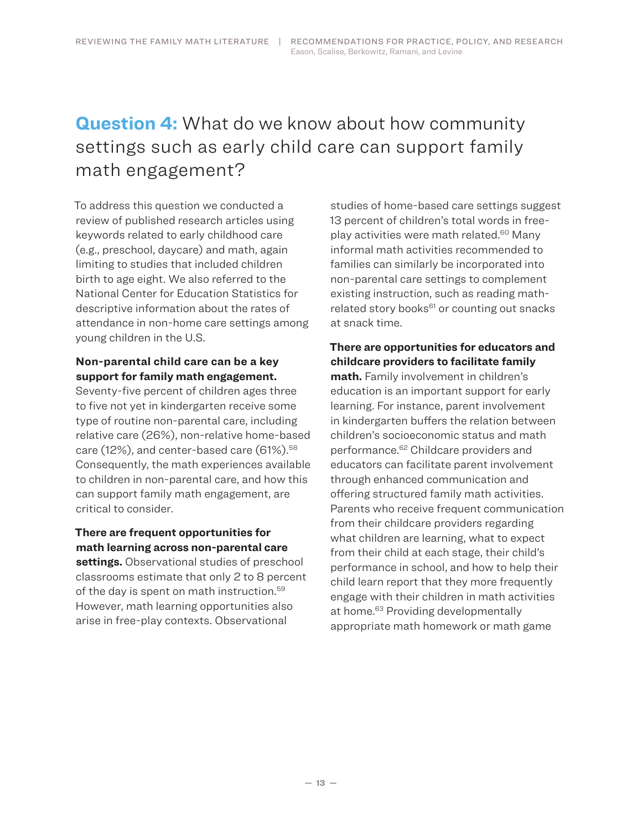# <span id="page-12-0"></span>**Question 4:** What do we know about how community settings such as early child care can support family math engagement?

To address this question we conducted a review of published research articles using keywords related to early childhood care (e.g., preschool, daycare) and math, again limiting to studies that included children birth to age eight. We also referred to the National Center for Education Statistics for descriptive information about the rates of attendance in non-home care settings among young children in the U.S.

### **Non-parental child care can be a key support for family math engagement.**

Seventy-five percent of children ages three to five not yet in kindergarten receive some type of routine non-parental care, including relative care (26%), non-relative home-based care (12%), and center-based care (61%). 58 Consequently, the math experiences available to children in non-parental care, and how this can support family math engagement, are critical to consider.

### **There are frequent opportunities for math learning across non-parental care**

**settings.** Observational studies of preschool classrooms estimate that only 2 to 8 percent of the day is spent on math instruction. 59 However, math learning opportunities also arise in free-play contexts. Observational

studies of home-based care settings suggest 13 percent of children's total words in freeplay activities were math related. 60 Many informal math activities recommended to families can similarly be incorporated into non-parental care settings to complement existing instruction, such as reading mathrelated story books<sup>61</sup> or counting out snacks at snack time.

## **There are opportunities for educators and childcare providers to facilitate family**

**math.** Family involvement in children's education is an important support for early learning. For instance, parent involvement in kindergarten buffers the relation between children's socioeconomic status and math performance. 62 Childcare providers and educators can facilitate parent involvement through enhanced communication and offering structured family math activities. Parents who receive frequent communication from their childcare providers regarding what children are learning, what to expect from their child at each stage, their child's performance in school, and how to help their child learn report that they more frequently engage with their children in math activities at home. 63 Providing developmentally appropriate math homework or math game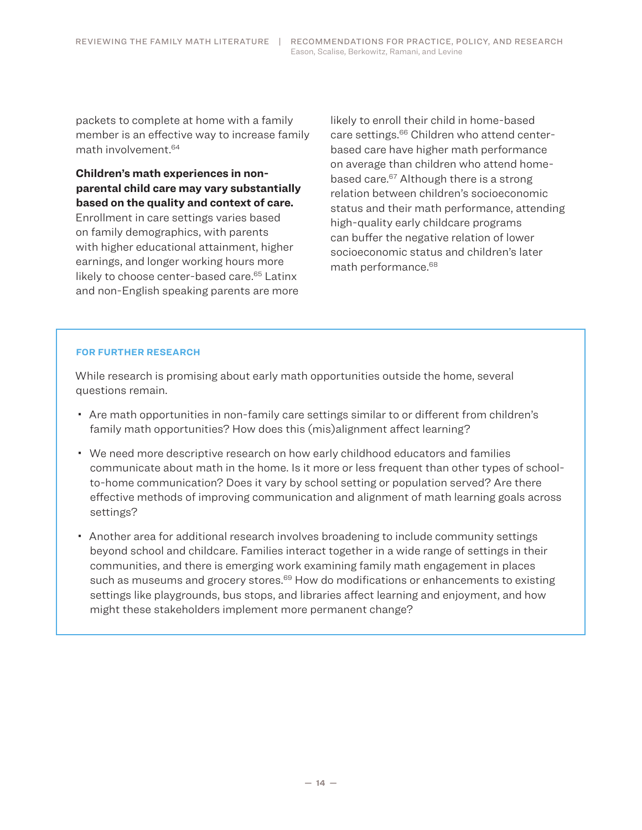packets to complete at home with a family member is an effective way to increase family math involvement. 64

### **Children's math experiences in nonparental child care may vary substantially based on the quality and context of care.**

Enrollment in care settings varies based on family demographics, with parents with higher educational attainment, higher earnings, and longer working hours more likely to choose center-based care. 65 Latinx and non-English speaking parents are more likely to enroll their child in home-based care settings. 66 Children who attend centerbased care have higher math performance on average than children who attend homebased care. 67 Although there is a strong relation between children's socioeconomic status and their math performance, attending high-quality early childcare programs can buffer the negative relation of lower socioeconomic status and children's later math performance. 68

#### **FOR FURTHER RESEARCH**

While research is promising about early math opportunities outside the home, several questions remain.

- Are math opportunities in non-family care settings similar to or different from children's family math opportunities? How does this (mis)alignment affect learning?
- We need more descriptive research on how early childhood educators and families communicate about math in the home. Is it more or less frequent than other types of schoolto-home communication? Does it vary by school setting or population served? Are there effective methods of improving communication and alignment of math learning goals across settings?
- Another area for additional research involves broadening to include community settings beyond school and childcare. Families interact together in a wide range of settings in their communities, and there is emerging work examining family math engagement in places such as museums and grocery stores.<sup>69</sup> How do modifications or enhancements to existing settings like playgrounds, bus stops, and libraries affect learning and enjoyment, and how might these stakeholders implement more permanent change?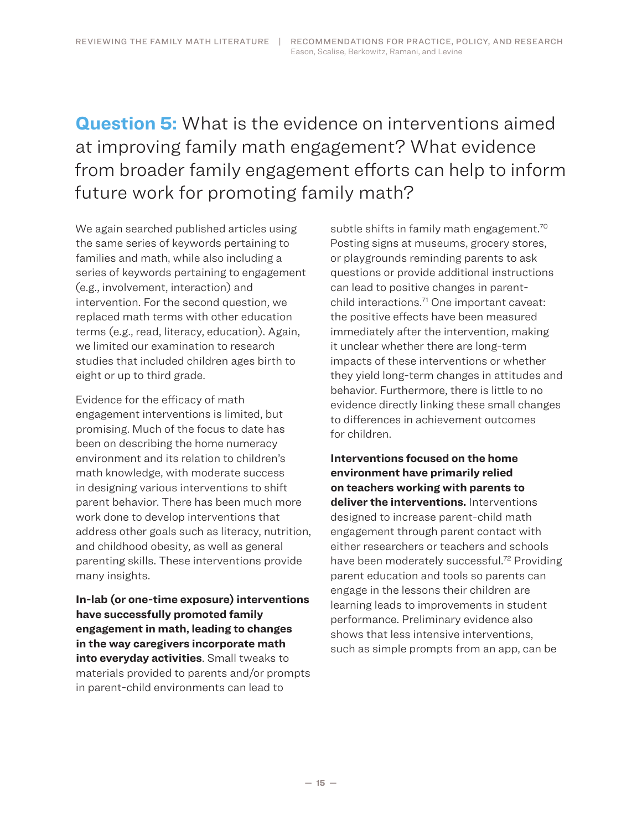# <span id="page-14-0"></span>**Question 5:** What is the evidence on interventions aimed at improving family math engagement? What evidence from broader family engagement efforts can help to inform future work for promoting family math?

We again searched published articles using the same series of keywords pertaining to families and math, while also including a series of keywords pertaining to engagement (e.g., involvement, interaction) and intervention. For the second question, we replaced math terms with other education terms (e.g., read, literacy, education). Again, we limited our examination to research studies that included children ages birth to eight or up to third grade.

Evidence for the efficacy of math engagement interventions is limited, but promising. Much of the focus to date has been on describing the home numeracy environment and its relation to children's math knowledge, with moderate success in designing various interventions to shift parent behavior. There has been much more work done to develop interventions that address other goals such as literacy, nutrition, and childhood obesity, as well as general parenting skills. These interventions provide many insights.

**In-lab (or one-time exposure) interventions have successfully promoted family engagement in math, leading to changes in the way caregivers incorporate math into everyday activities**. Small tweaks to materials provided to parents and/or prompts in parent-child environments can lead to

subtle shifts in family math engagement. 70 Posting signs at museums, grocery stores, or playgrounds reminding parents to ask questions or provide additional instructions can lead to positive changes in parentchild interactions. 71 One important caveat: the positive effects have been measured immediately after the intervention, making it unclear whether there are long-term impacts of these interventions or whether they yield long-term changes in attitudes and behavior. Furthermore, there is little to no evidence directly linking these small changes to differences in achievement outcomes for children.

**Interventions focused on the home environment have primarily relied on teachers working with parents to deliver the interventions.** Interventions designed to increase parent-child math engagement through parent contact with either researchers or teachers and schools have been moderately successful. 72 Providing parent education and tools so parents can engage in the lessons their children are learning leads to improvements in student performance. Preliminary evidence also shows that less intensive interventions, such as simple prompts from an app, can be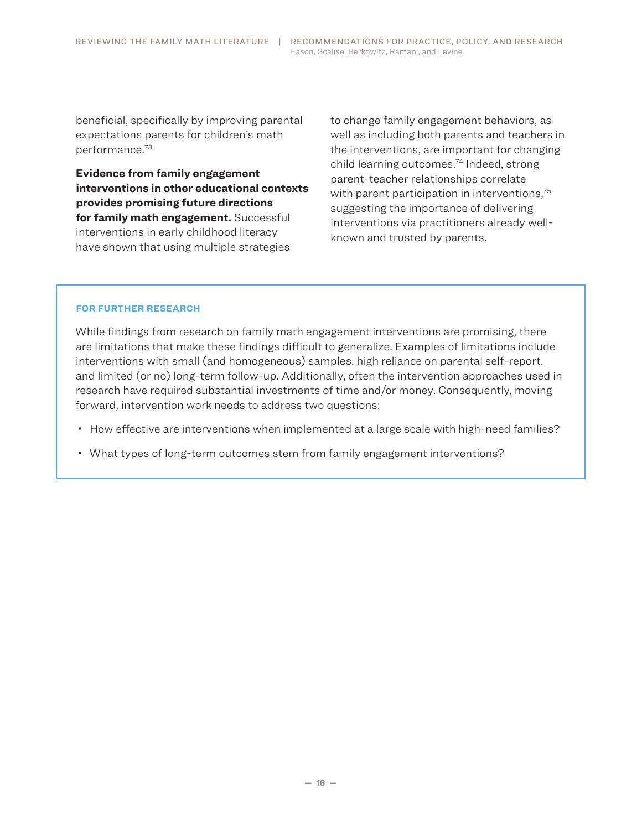beneficial, specifically by improving parental expectations parents for children's math performance. 73

**Evidence from family engagement interventions in other educational contexts provides promising future directions for family math engagement.** Successful interventions in early childhood literacy have shown that using multiple strategies

to change family engagement behaviors, as well as including both parents and teachers in the interventions, are important for changing child learning outcomes. 74 Indeed, strong parent-teacher relationships correlate with parent participation in interventions,<sup>75</sup> suggesting the importance of delivering interventions via practitioners already wellknown and trusted by parents.

#### **FOR FURTHER RESEARCH**

While findings from research on family math engagement interventions are promising, there are limitations that make these findings difficult to generalize. Examples of limitations include interventions with small (and homogeneous) samples, high reliance on parental self-report, and limited (or no) long-term follow-up. Additionally, often the intervention approaches used in research have required substantial investments of time and/or money. Consequently, moving forward, intervention work needs to address two questions:

- How effective are interventions when implemented at a large scale with high-need families?
- What types of long-term outcomes stem from family engagement interventions?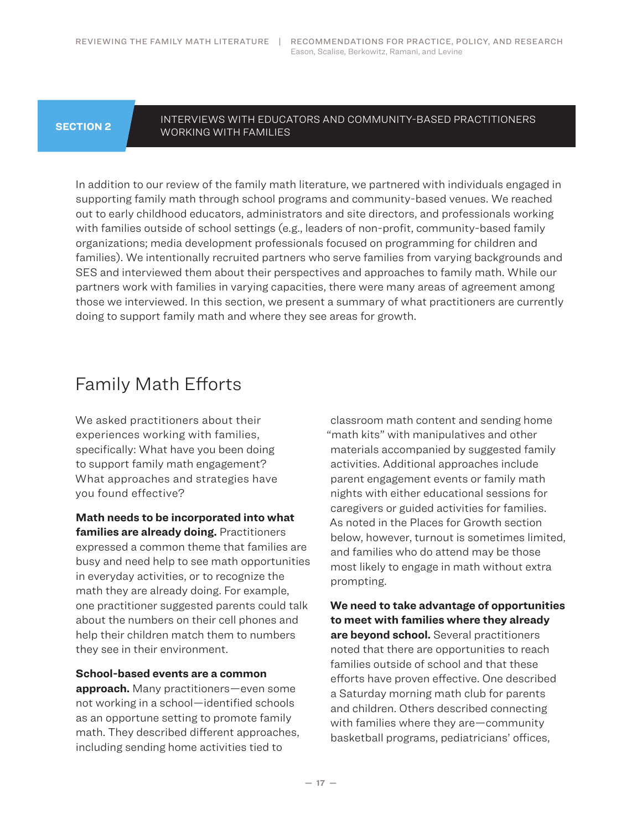### <span id="page-16-0"></span>**SECTION 2**

#### INTERVIEWS WITH EDUCATORS AND COMMUNITY-BASED PRACTITIONERS WORKING WITH FAMILIES

In addition to our review of the family math literature, we partnered with individuals engaged in supporting family math through school programs and community-based venues. We reached out to early childhood educators, administrators and site directors, and professionals working with families outside of school settings (e.g., leaders of non-profit, community-based family organizations; media development professionals focused on programming for children and families). We intentionally recruited partners who serve families from varying backgrounds and SES and interviewed them about their perspectives and approaches to family math. While our partners work with families in varying capacities, there were many areas of agreement among those we interviewed. In this section, we present a summary of what practitioners are currently doing to support family math and where they see areas for growth.

# Family Math Efforts

We asked practitioners about their experiences working with families, specifically: What have you been doing to support family math engagement? What approaches and strategies have you found effective?

**Math needs to be incorporated into what families are already doing.** Practitioners expressed a common theme that families are busy and need help to see math opportunities in everyday activities, or to recognize the math they are already doing. For example, one practitioner suggested parents could talk about the numbers on their cell phones and help their children match them to numbers they see in their environment.

### **School-based events are a common**

**approach.** Many practitioners—even some not working in a school—identified schools as an opportune setting to promote family math. They described different approaches, including sending home activities tied to

classroom math content and sending home "math kits" with manipulatives and other materials accompanied by suggested family activities. Additional approaches include parent engagement events or family math nights with either educational sessions for caregivers or guided activities for families. As noted in the Places for Growth section below, however, turnout is sometimes limited, and families who do attend may be those most likely to engage in math without extra prompting.

**We need to take advantage of opportunities to meet with families where they already are beyond school.** Several practitioners noted that there are opportunities to reach families outside of school and that these efforts have proven effective. One described a Saturday morning math club for parents and children. Others described connecting with families where they are—community basketball programs, pediatricians' offices,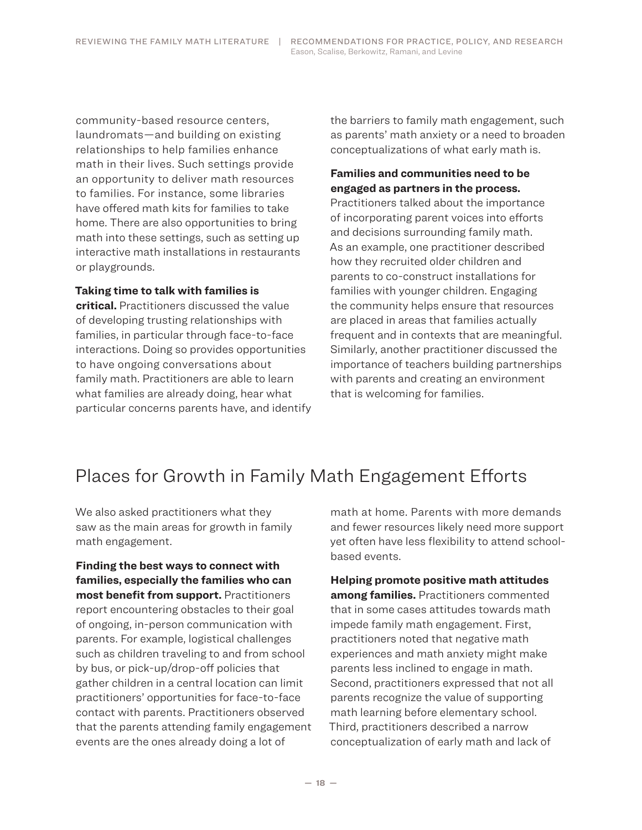<span id="page-17-0"></span>community-based resource centers, laundromats—and building on existing relationships to help families enhance math in their lives. Such settings provide an opportunity to deliver math resources to families. For instance, some libraries have offered math kits for families to take home. There are also opportunities to bring math into these settings, such as setting up interactive math installations in restaurants or playgrounds.

#### **Taking time to talk with families is**

**critical.** Practitioners discussed the value of developing trusting relationships with families, in particular through face-to-face interactions. Doing so provides opportunities to have ongoing conversations about family math. Practitioners are able to learn what families are already doing, hear what particular concerns parents have, and identify the barriers to family math engagement, such as parents' math anxiety or a need to broaden conceptualizations of what early math is.

## **Families and communities need to be engaged as partners in the process.**

Practitioners talked about the importance of incorporating parent voices into efforts and decisions surrounding family math. As an example, one practitioner described how they recruited older children and parents to co-construct installations for families with younger children. Engaging the community helps ensure that resources are placed in areas that families actually frequent and in contexts that are meaningful. Similarly, another practitioner discussed the importance of teachers building partnerships with parents and creating an environment that is welcoming for families.

# Places for Growth in Family Math Engagement Efforts

We also asked practitioners what they saw as the main areas for growth in family math engagement.

**Finding the best ways to connect with families, especially the families who can most benefit from support.** Practitioners report encountering obstacles to their goal of ongoing, in-person communication with parents. For example, logistical challenges such as children traveling to and from school by bus, or pick-up/drop-off policies that gather children in a central location can limit practitioners' opportunities for face-to-face contact with parents. Practitioners observed that the parents attending family engagement events are the ones already doing a lot of

math at home. Parents with more demands and fewer resources likely need more support yet often have less flexibility to attend schoolbased events.

**Helping promote positive math attitudes among families.** Practitioners commented that in some cases attitudes towards math impede family math engagement. First, practitioners noted that negative math experiences and math anxiety might make parents less inclined to engage in math. Second, practitioners expressed that not all parents recognize the value of supporting math learning before elementary school. Third, practitioners described a narrow conceptualization of early math and lack of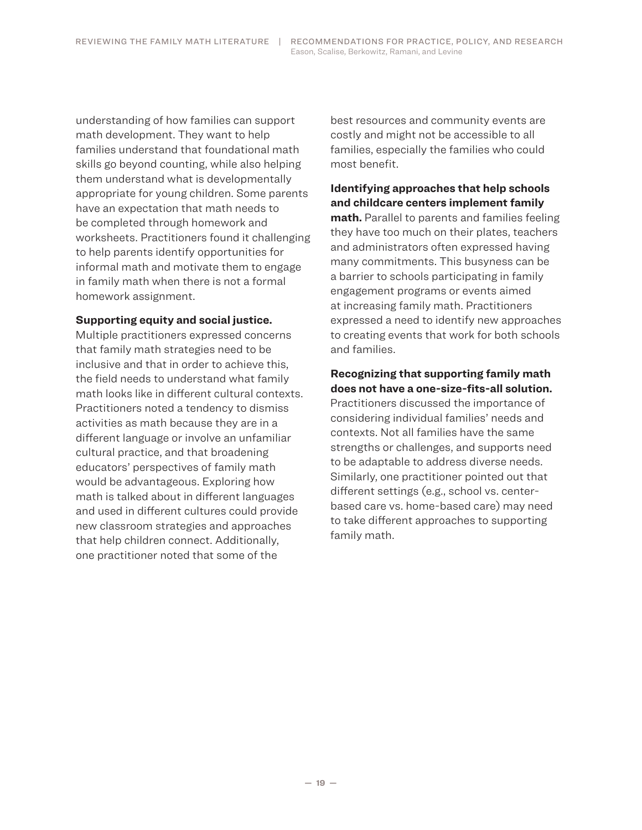understanding of how families can support math development. They want to help families understand that foundational math skills go beyond counting, while also helping them understand what is developmentally appropriate for young children. Some parents have an expectation that math needs to be completed through homework and worksheets. Practitioners found it challenging to help parents identify opportunities for informal math and motivate them to engage in family math when there is not a formal homework assignment.

#### **Supporting equity and social justice.**

Multiple practitioners expressed concerns that family math strategies need to be inclusive and that in order to achieve this, the field needs to understand what family math looks like in different cultural contexts. Practitioners noted a tendency to dismiss activities as math because they are in a different language or involve an unfamiliar cultural practice, and that broadening educators' perspectives of family math would be advantageous. Exploring how math is talked about in different languages and used in different cultures could provide new classroom strategies and approaches that help children connect. Additionally, one practitioner noted that some of the

best resources and community events are costly and might not be accessible to all families, especially the families who could most benefit.

## **Identifying approaches that help schools and childcare centers implement family**

**math.** Parallel to parents and families feeling they have too much on their plates, teachers and administrators often expressed having many commitments. This busyness can be a barrier to schools participating in family engagement programs or events aimed at increasing family math. Practitioners expressed a need to identify new approaches to creating events that work for both schools and families.

### **Recognizing that supporting family math does not have a one-size-fits-all solution.**

Practitioners discussed the importance of considering individual families' needs and contexts. Not all families have the same strengths or challenges, and supports need to be adaptable to address diverse needs. Similarly, one practitioner pointed out that different settings (e.g., school vs. centerbased care vs. home-based care) may need to take different approaches to supporting family math.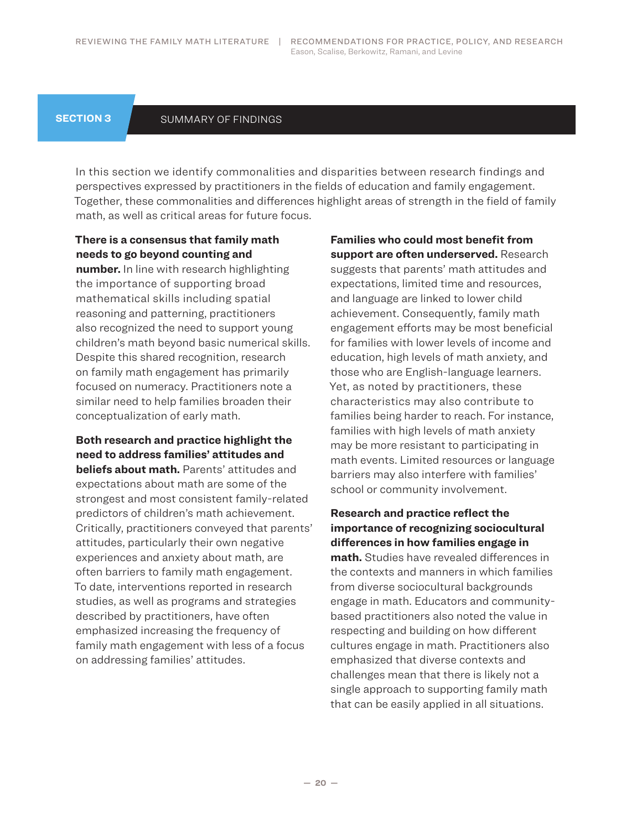#### <span id="page-19-0"></span>**SECTION 3**

#### SUMMARY OF FINDINGS

In this section we identify commonalities and disparities between research findings and perspectives expressed by practitioners in the fields of education and family engagement. Together, these commonalities and differences highlight areas of strength in the field of family math, as well as critical areas for future focus.

# **There is a consensus that family math needs to go beyond counting and**

**number.** In line with research highlighting the importance of supporting broad mathematical skills including spatial reasoning and patterning, practitioners also recognized the need to support young children's math beyond basic numerical skills. Despite this shared recognition, research on family math engagement has primarily focused on numeracy. Practitioners note a similar need to help families broaden their conceptualization of early math.

**Both research and practice highlight the need to address families' attitudes and beliefs about math.** Parents' attitudes and expectations about math are some of the strongest and most consistent family-related predictors of children's math achievement. Critically, practitioners conveyed that parents' attitudes, particularly their own negative experiences and anxiety about math, are often barriers to family math engagement. To date, interventions reported in research studies, as well as programs and strategies described by practitioners, have often emphasized increasing the frequency of family math engagement with less of a focus on addressing families' attitudes.

**Families who could most benefit from support are often underserved.** Research suggests that parents' math attitudes and expectations, limited time and resources, and language are linked to lower child achievement. Consequently, family math engagement efforts may be most beneficial for families with lower levels of income and education, high levels of math anxiety, and those who are English-language learners. Yet, as noted by practitioners, these characteristics may also contribute to families being harder to reach. For instance, families with high levels of math anxiety may be more resistant to participating in math events. Limited resources or language barriers may also interfere with families' school or community involvement.

**Research and practice reflect the importance of recognizing sociocultural differences in how families engage in math.** Studies have revealed differences in the contexts and manners in which families from diverse sociocultural backgrounds engage in math. Educators and communitybased practitioners also noted the value in respecting and building on how different cultures engage in math. Practitioners also emphasized that diverse contexts and challenges mean that there is likely not a single approach to supporting family math that can be easily applied in all situations.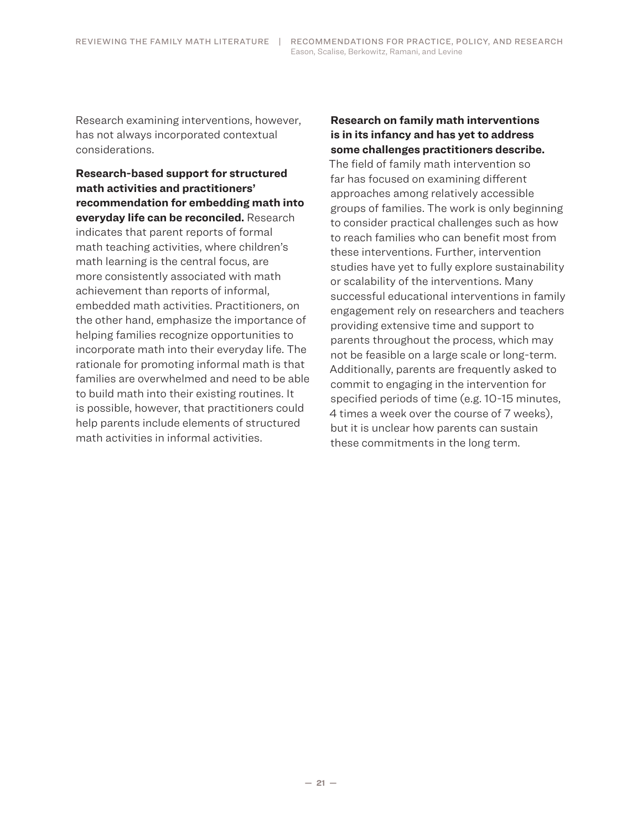Research examining interventions, however, has not always incorporated contextual considerations.

**Research-based support for structured math activities and practitioners' recommendation for embedding math into everyday life can be reconciled.** Research indicates that parent reports of formal math teaching activities, where children's math learning is the central focus, are more consistently associated with math achievement than reports of informal, embedded math activities. Practitioners, on the other hand, emphasize the importance of helping families recognize opportunities to incorporate math into their everyday life. The rationale for promoting informal math is that families are overwhelmed and need to be able to build math into their existing routines. It is possible, however, that practitioners could help parents include elements of structured math activities in informal activities.

### **Research on family math interventions is in its infancy and has yet to address some challenges practitioners describe.**

The field of family math intervention so far has focused on examining different approaches among relatively accessible groups of families. The work is only beginning to consider practical challenges such as how to reach families who can benefit most from these interventions. Further, intervention studies have yet to fully explore sustainability or scalability of the interventions. Many successful educational interventions in family engagement rely on researchers and teachers providing extensive time and support to parents throughout the process, which may not be feasible on a large scale or long-term. Additionally, parents are frequently asked to commit to engaging in the intervention for specified periods of time (e.g. 10-15 minutes, 4 times a week over the course of 7 weeks), but it is unclear how parents can sustain these commitments in the long term.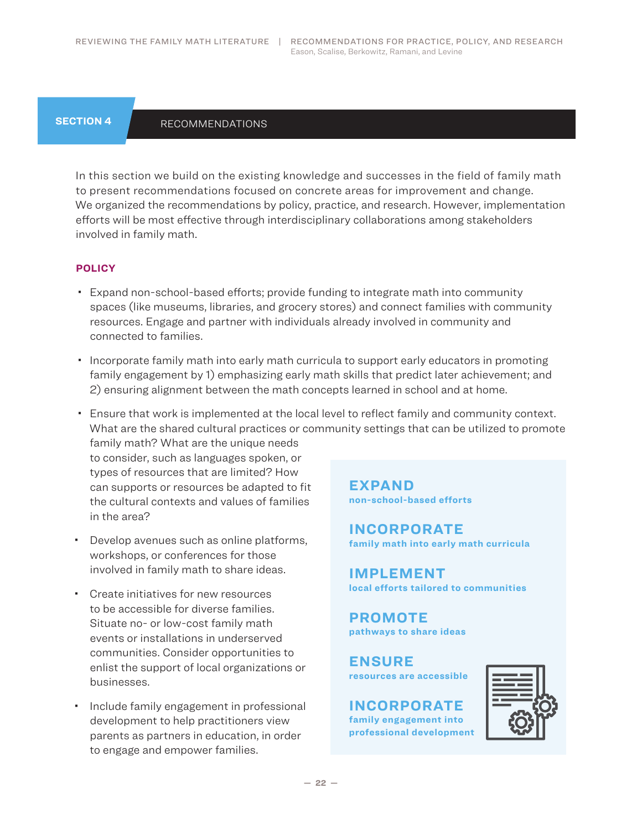### <span id="page-21-0"></span>**SECTION 4**

### **RECOMMENDATIONS**

In this section we build on the existing knowledge and successes in the field of family math to present recommendations focused on concrete areas for improvement and change. We organized the recommendations by policy, practice, and research. However, implementation efforts will be most effective through interdisciplinary collaborations among stakeholders involved in family math.

#### **POLICY**

- Expand non-school-based efforts; provide funding to integrate math into community spaces (like museums, libraries, and grocery stores) and connect families with community resources. Engage and partner with individuals already involved in community and connected to families.
- Incorporate family math into early math curricula to support early educators in promoting family engagement by 1) emphasizing early math skills that predict later achievement; and 2) ensuring alignment between the math concepts learned in school and at home.
- Ensure that work is implemented at the local level to reflect family and community context. What are the shared cultural practices or community settings that can be utilized to promote family math? What are the unique needs

to consider, such as languages spoken, or types of resources that are limited? How can supports or resources be adapted to fit the cultural contexts and values of families in the area?

- Develop avenues such as online platforms, workshops, or conferences for those involved in family math to share ideas.
- Create initiatives for new resources to be accessible for diverse families. Situate no- or low-cost family math events or installations in underserved communities. Consider opportunities to enlist the support of local organizations or businesses.
- Include family engagement in professional development to help practitioners view parents as partners in education, in order to engage and empower families.

**EXPAND non-school-based efforts**

**INCORPORATE family math into early math curricula**

**IMPLEMENT local efforts tailored to communities**

**PROMOTE pathways to share ideas**

**ENSURE resources are accessible**

**INCORPORATE family engagement into professional development**

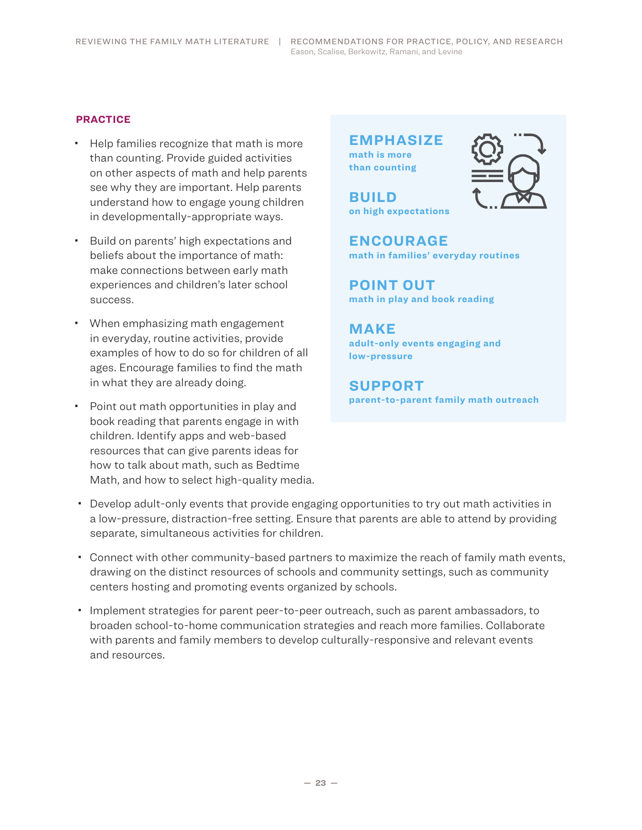REVIEWING THE FAMILY MATH LITERATURE | RECOMMENDATIONS FOR PRACTICE, POLICY, AND RESEARCH Eason, Scalise, Berkowitz, Ramani, and Levine

#### **PRACTICE**

- Help families recognize that math is more than counting. Provide guided activities on other aspects of math and help parents see why they are important. Help parents understand how to engage young children in developmentally-appropriate ways.
- Build on parents' high expectations and beliefs about the importance of math: make connections between early math experiences and children's later school success.
- When emphasizing math engagement in everyday, routine activities, provide examples of how to do so for children of all ages. Encourage families to find the math in what they are already doing.
- Point out math opportunities in play and book reading that parents engage in with children. Identify apps and web-based resources that can give parents ideas for how to talk about math, such as Bedtime Math, and how to select high-quality media.

**EMPHASIZE math is more than counting**

**BUILD on high expectations**



**ENCOURAGE math in families' everyday routines**

**POINT OUT math in play and book reading**

**MAKE adult-only events engaging and low-pressure**

**SUPPORT parent-to-parent family math outreach**

- Develop adult-only events that provide engaging opportunities to try out math activities in a low-pressure, distraction-free setting. Ensure that parents are able to attend by providing separate, simultaneous activities for children.
- Connect with other community-based partners to maximize the reach of family math events, drawing on the distinct resources of schools and community settings, such as community centers hosting and promoting events organized by schools.
- Implement strategies for parent peer-to-peer outreach, such as parent ambassadors, to broaden school-to-home communication strategies and reach more families. Collaborate with parents and family members to develop culturally-responsive and relevant events and resources.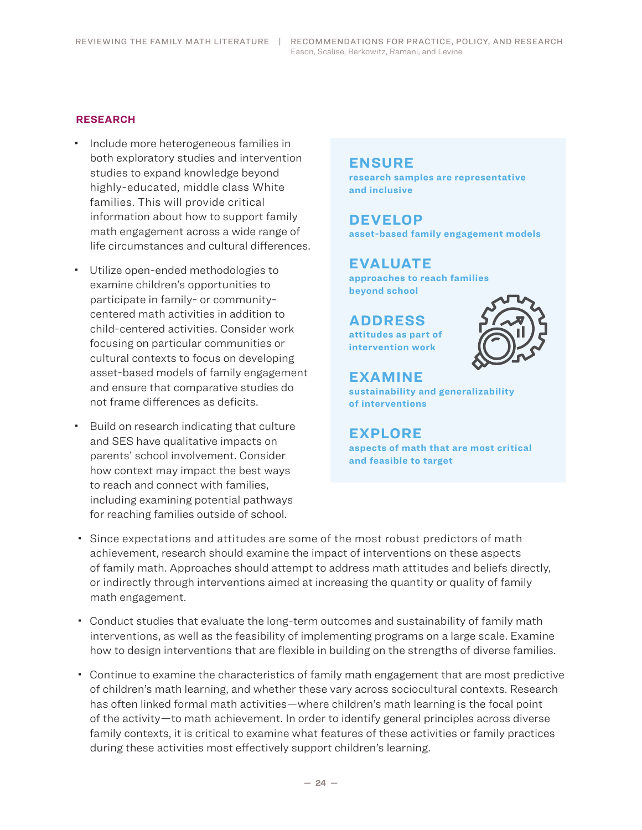#### **RESEARCH**

- $\cdot$  Include more heterogeneous families in both exploratory studies and intervention studies to expand knowledge beyond highly-educated, middle class White families. This will provide critical information about how to support family math engagement across a wide range of life circumstances and cultural differences.
- Utilize open-ended methodologies to examine children's opportunities to participate in family- or communitycentered math activities in addition to child-centered activities. Consider work focusing on particular communities or cultural contexts to focus on developing asset-based models of family engagement and ensure that comparative studies do not frame differences as deficits.
- **Build on research indicating that culture** and SES have qualitative impacts on parents' school involvement. Consider how context may impact the best ways to reach and connect with families, including examining potential pathways for reaching families outside of school.

### **ENSURE**

**research samples are representative and inclusive**

# **DEVELOP**

**asset-based family engagement models**

### **EVALUATE**

**approaches to reach families beyond school**

**ADDRESS attitudes as part of intervention work**



# **EXAMINE**

**sustainability and generalizability of interventions**

### **EXPLORE**

**aspects of math that are most critical and feasible to target**

- Since expectations and attitudes are some of the most robust predictors of math achievement, research should examine the impact of interventions on these aspects of family math. Approaches should attempt to address math attitudes and beliefs directly, or indirectly through interventions aimed at increasing the quantity or quality of family math engagement.
- Conduct studies that evaluate the long-term outcomes and sustainability of family math interventions, as well as the feasibility of implementing programs on a large scale. Examine how to design interventions that are flexible in building on the strengths of diverse families.
- Continue to examine the characteristics of family math engagement that are most predictive of children's math learning, and whether these vary across sociocultural contexts. Research has often linked formal math activities—where children's math learning is the focal point of the activity—to math achievement. In order to identify general principles across diverse family contexts, it is critical to examine what features of these activities or family practices during these activities most effectively support children's learning.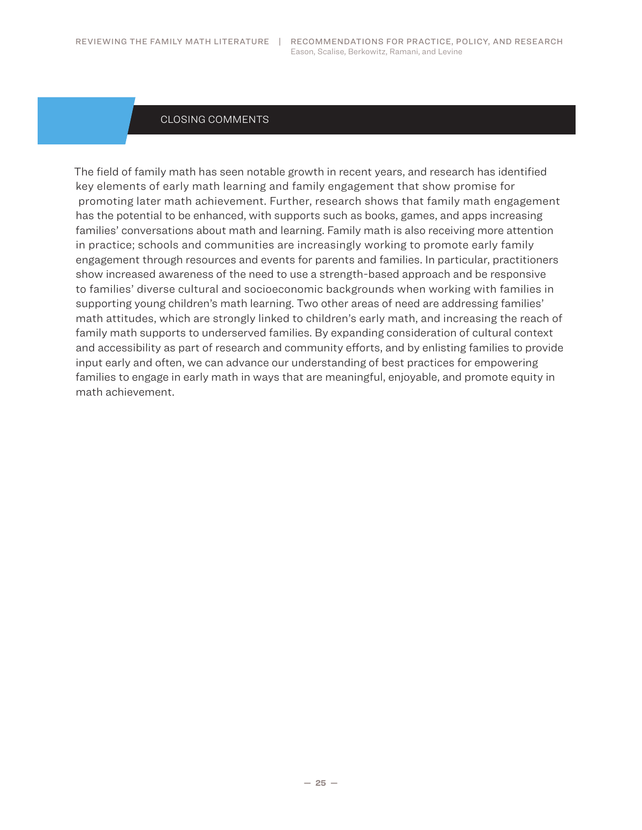#### CLOSING COMMENTS

<span id="page-24-0"></span>The field of family math has seen notable growth in recent years, and research has identified key elements of early math learning and family engagement that show promise for promoting later math achievement. Further, research shows that family math engagement has the potential to be enhanced, with supports such as books, games, and apps increasing families' conversations about math and learning. Family math is also receiving more attention in practice; schools and communities are increasingly working to promote early family engagement through resources and events for parents and families. In particular, practitioners show increased awareness of the need to use a strength-based approach and be responsive to families' diverse cultural and socioeconomic backgrounds when working with families in supporting young children's math learning. Two other areas of need are addressing families' math attitudes, which are strongly linked to children's early math, and increasing the reach of family math supports to underserved families. By expanding consideration of cultural context and accessibility as part of research and community efforts, and by enlisting families to provide input early and often, we can advance our understanding of best practices for empowering families to engage in early math in ways that are meaningful, enjoyable, and promote equity in math achievement.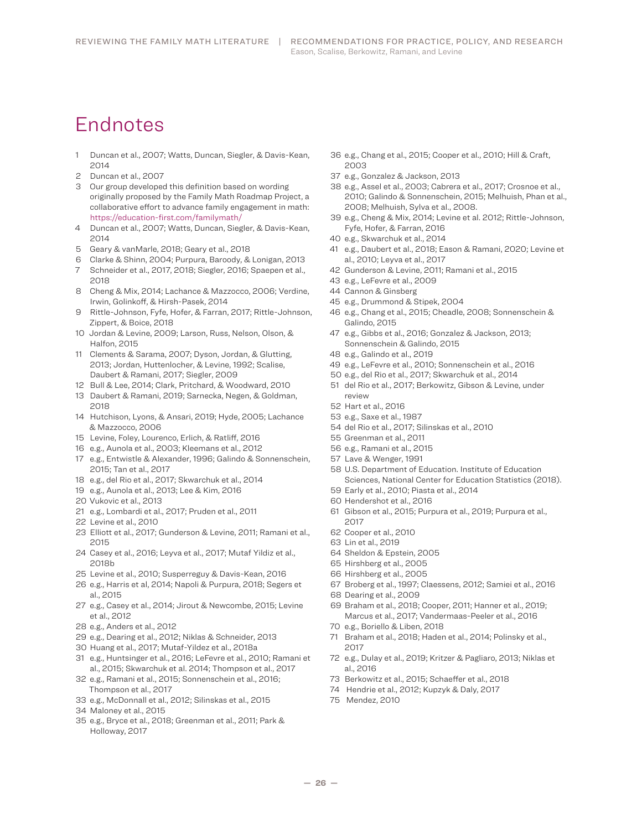# Endnotes

- Duncan et al., 2007; Watts, Duncan, Siegler, & Davis-Kean,
- Duncan et al., 2007
- Our group developed this definition based on wording originally proposed by the Family Math Roadmap Project, a collaborative effort to advance family engagement in math: https://education-first.com/familymath/
- Duncan et al., 2007; Watts, Duncan, Siegler, & Davis-Kean,
- Geary & vanMarle, 2018; Geary et al., 2018
- Clarke & Shinn, 2004; Purpura, Baroody, & Lonigan, 2013
- Schneider et al., 2017, 2018; Siegler, 2016; Spaepen et al.,
- Cheng & Mix, 2014; Lachance & Mazzocco, 2006; Verdine, Irwin, Golinkoff, & Hirsh-Pasek, 2014
- Rittle-Johnson, Fyfe, Hofer, & Farran, 2017; Rittle-Johnson, Zippert, & Boice, 2018
- Jordan & Levine, 2009; Larson, Russ, Nelson, Olson, & Halfon, 2015
- Clements & Sarama, 2007; Dyson, Jordan, & Glutting, 2013; Jordan, Huttenlocher, & Levine, 1992; Scalise, Daubert & Ramani, 2017; Siegler, 2009
- Bull & Lee, 2014; Clark, Pritchard, & Woodward, 2010
- Daubert & Ramani, 2019; Sarnecka, Negen, & Goldman,
- Hutchison, Lyons, & Ansari, 2019; Hyde, 2005; Lachance & Mazzocco, 2006
- Levine, Foley, Lourenco, Erlich, & Ratliff, 2016
- e.g., Aunola et al., 2003; Kleemans et al., 2012
- e.g., Entwistle & Alexander, 1996; Galindo & Sonnenschein, 2015; Tan et al., 2017
- e.g., del Rio et al., 2017; Skwarchuk et al., 2014
- e.g., Aunola et al., 2013; Lee & Kim, 2016
- Vukovic et al., 2013
- e.g., Lombardi et al., 2017; Pruden et al., 2011
- Levine et al., 2010
- Elliott et al., 2017; Gunderson & Levine, 2011; Ramani et al.,
- Casey et al., 2016; Leyva et al., 2017; Mutaf Yildiz et al., 2018b
- Levine et al., 2010; Susperreguy & Davis-Kean, 2016
- e.g., Harris et al, 2014; Napoli & Purpura, 2018; Segers et al., 2015
- e.g., Casey et al., 2014; Jirout & Newcombe, 2015; Levine et al., 2012
- e.g., Anders et al., 2012
- e.g., Dearing et al., 2012; Niklas & Schneider, 2013
- Huang et al., 2017; Mutaf-Yildez et al., 2018a
- e.g., Huntsinger et al., 2016; LeFevre et al., 2010; Ramani et al., 2015; Skwarchuk et al. 2014; Thompson et al., 2017
- e.g., Ramani et al., 2015; Sonnenschein et al., 2016; Thompson et al., 2017
- e.g., McDonnall et al., 2012; Silinskas et al., 2015
- Maloney et al., 2015
- e.g., Bryce et al., 2018; Greenman et al., 2011; Park & Holloway, 2017
- e.g., Chang et al., 2015; Cooper et al., 2010; Hill & Craft,
- e.g., Gonzalez & Jackson, 2013
- e.g., Assel et al., 2003; Cabrera et al., 2017; Crosnoe et al., 2010; Galindo & Sonnenschein, 2015; Melhuish, Phan et al., 2008; Melhuish, Sylva et al., 2008.
- e.g., Cheng & Mix, 2014; Levine et al. 2012; Rittle-Johnson, Fyfe, Hofer, & Farran, 2016
- e.g., Skwarchuk et al., 2014
- e.g., Daubert et al., 2018; Eason & Ramani, 2020; Levine et al., 2010; Leyva et al., 2017
- Gunderson & Levine, 2011; Ramani et al., 2015
- e.g., LeFevre et al., 2009
- Cannon & Ginsberg
- e.g., Drummond & Stipek, 2004
- e.g., Chang et al., 2015; Cheadle, 2008; Sonnenschein & Galindo, 2015
- e.g., Gibbs et al., 2016; Gonzalez & Jackson, 2013; Sonnenschein & Galindo, 2015
- e.g., Galindo et al., 2019
- e.g., LeFevre et al., 2010; Sonnenschein et al., 2016
- e.g., del Rio et al., 2017; Skwarchuk et al., 2014
- del Rio et al., 2017; Berkowitz, Gibson & Levine, under review
- Hart et al., 2016
- e.g., Saxe et al., 1987
- del Rio et al., 2017; Silinskas et al., 2010
- Greenman et al., 2011
- e.g., Ramani et al., 2015
- Lave & Wenger, 1991
- U.S. Department of Education. Institute of Education Sciences, National Center for Education Statistics (2018).
- Early et al., 2010; Piasta et al., 2014
- Hendershot et al., 2016
- Gibson et al., 2015; Purpura et al., 2019; Purpura et al.,
- Cooper et al., 2010
- Lin et al., 2019
- Sheldon & Epstein, 2005
- Hirshberg et al., 2005
- Hirshberg et al., 2005
- Broberg et al., 1997; Claessens, 2012; Samiei et al., 2016
- Dearing et al., 2009
- Braham et al., 2018; Cooper, 2011; Hanner et al., 2019; Marcus et al., 2017; Vandermaas-Peeler et al., 2016
- e.g., Boriello & Liben, 2018
- Braham et al., 2018; Haden et al., 2014; Polinsky et al.,
- e.g., Dulay et al., 2019; Kritzer & Pagliaro, 2013; Niklas et al., 2016
- Berkowitz et al., 2015; Schaeffer et al., 2018
- 74 Hendrie et al., 2012; Kupzyk & Daly, 2017
- 75 Mendez, 2010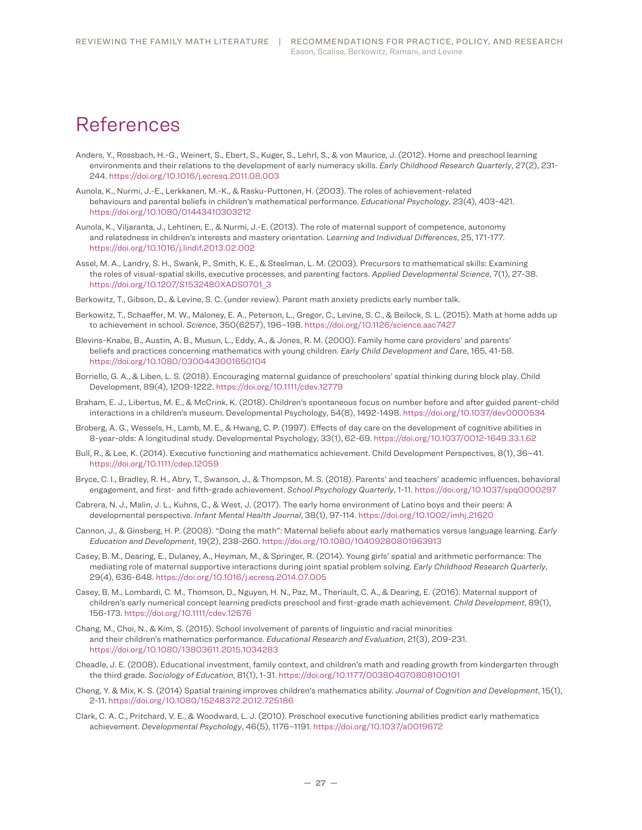# References

- Anders, Y., Rossbach, H.-G., Weinert, S., Ebert, S., Kuger, S., Lehrl, S., & von Maurice, J. (2012). Home and preschool learning environments and their relations to the development of early numeracy skills. *Early Childhood Research Quarterly*, 27(2), 231-244. https://doi.org/10.1016/j.ecresq.2011.08.003
- Aunola, K., Nurmi, J.-E., Lerkkanen, M.-K., & Rasku-Puttonen, H. (2003). The roles of achievement-related behaviours and parental beliefs in children's mathematical performance. *Educational Psychology*, 23(4), 403-421. https://doi.org/10.1080/01443410303212
- Aunola, K., Viljaranta, J., Lehtinen, E., & Nurmi, J.-E. (2013). The role of maternal support of competence, autonomy and relatedness in children's interests and mastery orientation. L*earning and Individual Differences*, 25, 171-177. https://doi.org/10.1016/j.lindif.2013.02.002
- Assel, M. A., Landry, S. H., Swank, P., Smith, K. E., & Steelman, L. M. (2003). Precursors to mathematical skills: Examining the roles of visual-spatial skills, executive processes, and parenting factors. *Applied Developmental Science*, 7(1), 27-38. https://doi.org/10.1207/S1532480XADS0701\_3
- Berkowitz, T., Gibson, D., & Levine, S. C. (under review). Parent math anxiety predicts early number talk.
- Berkowitz, T., Schaeffer, M. W., Maloney, E. A., Peterson, L., Gregor, C., Levine, S. C., & Beilock, S. L. (2015). Math at home adds up to achievement in school. *Science*, 350(6257), 196–198. https://doi.org/10.1126/science.aac7427
- Blevins-Knabe, B., Austin, A. B., Musun, L., Eddy, A., & Jones, R. M. (2000). Family home care providers' and parents' beliefs and practices concerning mathematics with young children. *Early Child Development and Care*, 165, 41-58. https://doi.org/10.1080/0300443001650104
- Borriello, G. A., & Liben, L. S. (2018). Encouraging maternal guidance of preschoolers' spatial thinking during block play. Child Development, 89(4), 1209-1222. https://doi.org/10.1111/cdev.12779
- Braham, E. J., Libertus, M. E., & McCrink, K. (2018). Children's spontaneous focus on number before and after guided parent-child interactions in a children's museum. Developmental Psychology, 54(8), 1492-1498. https://doi.org/10.1037/dev0000534
- Broberg, A. G., Wessels, H., Lamb, M. E., & Hwang, C. P. (1997). Effects of day care on the development of cognitive abilities in 8-year-olds: A longitudinal study. Developmental Psychology, 33(1), 62-69. https://doi.org/10.1037/0012-1649.33.1.62
- Bull, R., & Lee, K. (2014). Executive functioning and mathematics achievement. Child Development Perspectives, 8(1), 36–41. https://doi.org/10.1111/cdep.12059
- Bryce, C. I., Bradley, R. H., Abry, T., Swanson, J., & Thompson, M. S. (2018). Parents' and teachers' academic influences, behavioral engagement, and first- and fifth-grade achievement. *School Psychology Quarterly*, 1-11. https://doi.org/10.1037/spq0000297
- Cabrera, N. J., Malin, J. L., Kuhns, C., & West, J. (2017). The early home environment of Latino boys and their peers: A developmental perspective. *Infant Mental Health Journal*, 38(1), 97-114. https://doi.org/10.1002/imhj.21620
- Cannon, J., & Ginsberg, H. P. (2008). "Doing the math": Maternal beliefs about early mathematics versus language learning. *Early Education and Development*, 19(2), 238-260. https://doi.org/10.1080/10409280801963913
- Casey, B. M., Dearing, E., Dulaney, A., Heyman, M., & Springer, R. (2014). Young girls' spatial and arithmetic performance: The mediating role of maternal supportive interactions during joint spatial problem solving. *Early Childhood Research Quarterly*, 29(4), 636-648. https://doi.org/10.1016/j.ecresq.2014.07.005
- Casey, B. M., Lombardi, C. M., Thomson, D., Nguyen, H. N., Paz, M., Theriault, C. A., & Dearing, E. (2016). Maternal support of children's early numerical concept learning predicts preschool and first-grade math achievement. *Child Development*, 89(1), 156-173. https://doi.org/10.1111/cdev.12676
- Chang, M., Choi, N., & Kim, S. (2015). School involvement of parents of linguistic and racial minorities and their children's mathematics performance. *Educational Research and Evaluation*, 21(3), 209-231. https://doi.org/10.1080/13803611.2015.1034283
- Cheadle, J. E. (2008). Educational investment, family context, and children's math and reading growth from kindergarten through the third grade. *Sociology of Education*, 81(1), 1-31. https://doi.org/10.1177/003804070808100101
- Cheng, Y. & Mix, K. S. (2014) Spatial training improves children's mathematics ability. *Journal of Cognition and Development*, 15(1), 2-11. https://doi.org/10.1080/15248372.2012.725186
- Clark, C. A. C., Pritchard, V. E., & Woodward, L. J. (2010). Preschool executive functioning abilities predict early mathematics achievement. *Developmental Psychology*, 46(5), 1176–1191. https://doi.org/10.1037/a0019672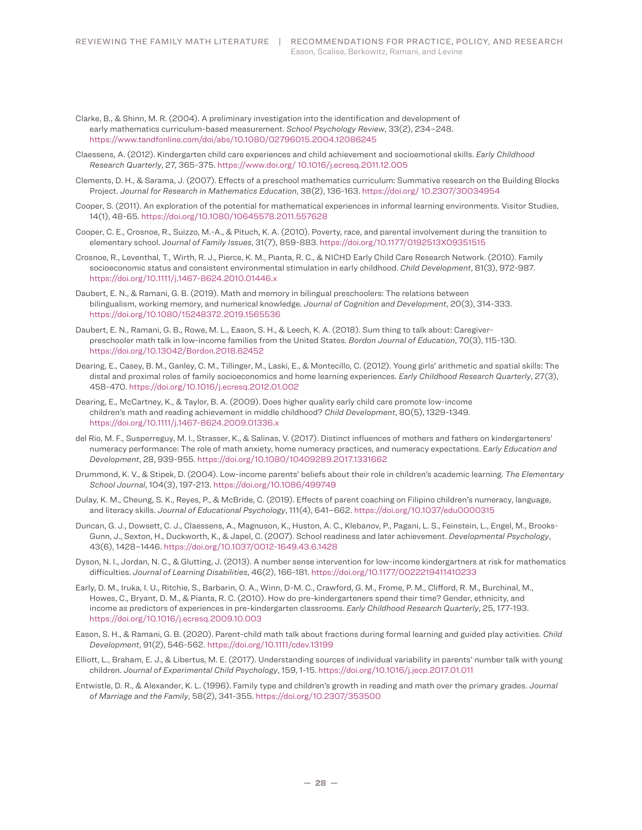Clarke, B., & Shinn, M. R. (2004). A preliminary investigation into the identification and development of early mathematics curriculum-based measurement. *School Psychology Review*, 33(2), 234–248. https://www.tandfonline.com/doi/abs/10.1080/02796015.2004.12086245

- Claessens, A. (2012). Kindergarten child care experiences and child achievement and socioemotional skills. *Early Childhood Research Quarterly*, 27, 365-375. https://www.doi.org/ 10.1016/j.ecresq.2011.12.005
- Clements, D. H., & Sarama, J. (2007). Effects of a preschool mathematics curriculum: Summative research on the Building Blocks Project. *Journal for Research in Mathematics Education*, 38(2), 136-163. https://doi.org/ 10.2307/30034954
- Cooper, S. (2011). An exploration of the potential for mathematical experiences in informal learning environments. Visitor Studies, 14(1), 48-65. https://doi.org/10.1080/10645578.2011.557628
- Cooper, C. E., Crosnoe, R., Suizzo, M.-A., & Pituch, K. A. (2010). Poverty, race, and parental involvement during the transition to elementary school. J*ournal of Family Issues*, 31(7), 859-883. https://doi.org/10.1177/0192513X09351515
- Crosnoe, R., Leventhal, T., Wirth, R. J., Pierce, K. M., Pianta, R. C., & NICHD Early Child Care Research Network. (2010). Family socioeconomic status and consistent environmental stimulation in early childhood. *Child Development*, 81(3), 972-987. https://doi.org/10.1111/j.1467-8624.2010.01446.x
- Daubert, E. N., & Ramani, G. B. (2019). Math and memory in bilingual preschoolers: The relations between bilingualism, working memory, and numerical knowledge. *Journal of Cognition and Development*, 20(3), 314-333. https://doi.org/10.1080/15248372.2019.1565536
- Daubert, E. N., Ramani, G. B., Rowe, M. L., Eason, S. H., & Leech, K. A. (2018). Sum thing to talk about: Caregiverpreschooler math talk in low-income families from the United States. *Bordon Journal of Education*, 70(3), 115-130. https://doi.org/10.13042/Bordon.2018.62452
- Dearing, E., Casey, B. M., Ganley, C. M., Tillinger, M., Laski, E., & Montecillo, C. (2012). Young girls' arithmetic and spatial skills: The distal and proximal roles of family socioeconomics and home learning experiences. *Early Childhood Research Quarterly*, 27(3), 458-470. https://doi.org/10.1016/j.ecresq.2012.01.002
- Dearing, E., McCartney, K., & Taylor, B. A. (2009). Does higher quality early child care promote low-income children's math and reading achievement in middle childhood? *Child Development*, 80(5), 1329-1349. https://doi.org/10.1111/j.1467-8624.2009.01336.x
- del Rio, M. F., Susperreguy, M. I., Strasser, K., & Salinas, V. (2017). Distinct influences of mothers and fathers on kindergarteners' numeracy performance: The role of math anxiety, home numeracy practices, and numeracy expectations. E*arly Education and Development*, 28, 939-955. https://doi.org/10.1080/10409289.2017.1331662
- Drummond, K. V., & Stipek, D. (2004). Low-income parents' beliefs about their role in children's academic learning. *The Elementary School Journal*, 104(3), 197-213. https://doi.org/10.1086/499749
- Dulay, K. M., Cheung, S. K., Reyes, P., & McBride, C. (2019). Effects of parent coaching on Filipino children's numeracy, language, and literacy skills. *Journal of Educational Psychology*, 111(4), 641–662. https://doi.org/10.1037/edu0000315
- Duncan, G. J., Dowsett, C. J., Claessens, A., Magnuson, K., Huston, A. C., Klebanov, P., Pagani, L. S., Feinstein, L., Engel, M., Brooks-Gunn, J., Sexton, H., Duckworth, K., & Japel, C. (2007). School readiness and later achievement. *Developmental Psychology*, 43(6), 1428–1446. https://doi.org/10.1037/0012-1649.43.6.1428
- Dyson, N. I., Jordan, N. C., & Glutting, J. (2013). A number sense intervention for low-income kindergartners at risk for mathematics difficulties. *Journal of Learning Disabilities*, 46(2), 166-181. https://doi.org/10.1177/0022219411410233
- Early, D. M., Iruka, I. U., Ritchie, S., Barbarin, O. A., Winn, D-M. C., Crawford, G. M., Frome, P. M., Clifford, R. M., Burchinal, M., Howes, C., Bryant, D. M., & Pianta, R. C. (2010). How do pre-kindergarteners spend their time? Gender, ethnicity, and income as predictors of experiences in pre-kindergarten classrooms. *Early Childhood Research Quarterly*, 25, 177-193. https://doi.org/10.1016/j.ecresq.2009.10.003
- Eason, S. H., & Ramani, G. B. (2020). Parent-child math talk about fractions during formal learning and guided play activities. *Child Development*, 91(2), 546-562. https://doi.org/10.1111/cdev.13199
- Elliott, L., Braham, E. J., & Libertus, M. E. (2017). Understanding sources of individual variability in parents' number talk with young children. *Journal of Experimental Child Psychology*, 159, 1-15. https://doi.org/10.1016/j.jecp.2017.01.011
- Entwistle, D. R., & Alexander, K. L. (1996). Family type and children's growth in reading and math over the primary grades. J*ournal of Marriage and the Family*, 58(2), 341-355. https://doi.org/10.2307/353500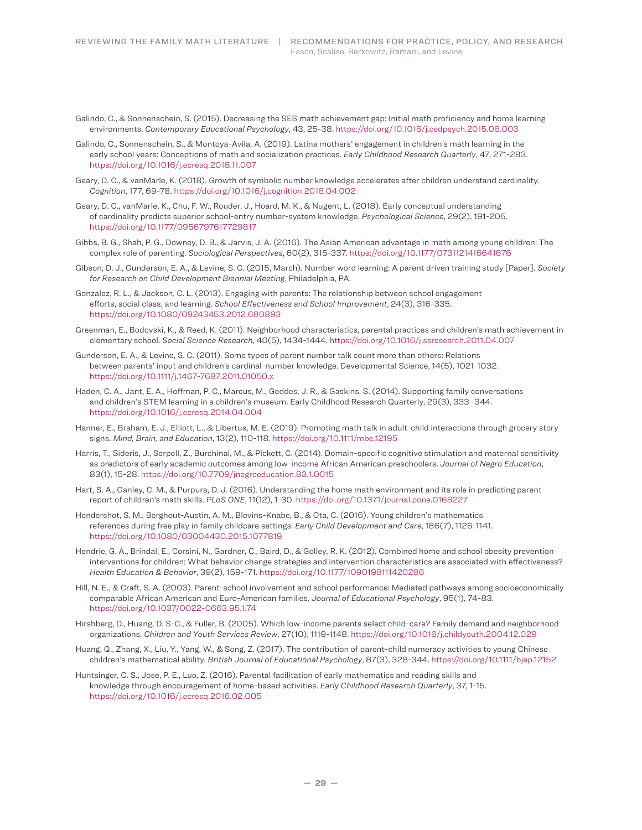- Galindo, C., & Sonnenschein, S. (2015). Decreasing the SES math achievement gap: Initial math proficiency and home learning environments. *Contemporary Educational Psychology*, 43, 25-38. https://doi.org/10.1016/j.cedpsych.2015.08.003
- Galindo, C., Sonnenschein, S., & Montoya-Avila, A. (2019). Latina mothers' engagement in children's math learning in the early school years: Conceptions of math and socialization practices. *Early Childhood Research Quarterly*, 47, 271-283. https://doi.org/10.1016/j.ecresq.2018.11.007
- Geary, D. C., & vanMarle, K. (2018). Growth of symbolic number knowledge accelerates after children understand cardinality. *Cognition*, 177, 69-78. https://doi.org/10.1016/j.cognition.2018.04.002
- Geary, D. C., vanMarle, K., Chu, F. W., Rouder, J., Hoard, M. K., & Nugent, L. (2018). Early conceptual understanding of cardinality predicts superior school-entry number-system knowledge. *Psychological Science*, 29(2), 191-205. https://doi.org/10.1177/0956797617729817
- Gibbs, B. G., Shah, P. G., Downey, D. B., & Jarvis, J. A. (2016). The Asian American advantage in math among young children: The complex role of parenting. *Sociological Perspectives*, 60(2), 315-337. https://doi.org/10.1177/0731121416641676
- Gibson, D. J., Gunderson, E. A., & Levine, S. C. (2015, March). Number word learning: A parent driven training study [Paper]. *Society for Research on Child Development Biennial Meeting*, Philadelphia, PA.
- Gonzalez, R. L., & Jackson, C. L. (2013). Engaging with parents: The relationship between school engagement efforts, social class, and learning. *School Effectiveness and School Improvement*, 24(3), 316-335. https://doi.org/10.1080/09243453.2012.680893
- Greenman, E., Bodovski, K., & Reed, K. (2011). Neighborhood characteristics, parental practices and children's math achievement in elementary school. *Social Science Research*, 40(5), 1434-1444. https://doi.org/10.1016/j.ssresearch.2011.04.007
- Gunderson, E. A., & Levine, S. C. (2011). Some types of parent number talk count more than others: Relations between parents' input and children's cardinal-number knowledge. Developmental Science, 14(5), 1021-1032. https://doi.org/10.1111/j.1467-7687.2011.01050.x
- Haden, C. A., Jant, E. A., Hoffman, P. C., Marcus, M., Geddes, J. R., & Gaskins, S. (2014). Supporting family conversations and children's STEM learning in a children's museum. Early Childhood Research Quarterly, 29(3), 333–344. https://doi.org/10.1016/j.ecresq.2014.04.004
- Hanner, E., Braham, E. J., Elliott, L., & Libertus, M. E. (2019). Promoting math talk in adult-child interactions through grocery story signs. *Mind, Brain, and Education*, 13(2), 110-118. https://doi.org/10.1111/mbe.12195
- Harris, T., Sideris, J., Serpell, Z., Burchinal, M., & Pickett, C. (2014). Domain-specific cognitive stimulation and maternal sensitivity as predictors of early academic outcomes among low-income African American preschoolers. *Journal of Negro Education*, 83(1), 15-28. https://doi.org/10.7709/jnegroeducation.83.1.0015
- Hart, S. A., Ganley, C. M., & Purpura, D. J. (2016). Understanding the home math environment and its role in predicting parent report of children's math skills. *PLoS ONE*, 11(12), 1-30. https://doi.org/10.1371/journal.pone.0168227
- Hendershot, S. M., Berghout-Austin, A. M., Blevins-Knabe, B., & Ota, C. (2016). Young children's mathematics references during free play in family childcare settings. *Early Child Development and Care*, 186(7), 1126-1141. https://doi.org/10.1080/03004430.2015.1077819
- Hendrie, G. A., Brindal, E., Corsini, N., Gardner, C., Baird, D., & Golley, R. K. (2012). Combined home and school obesity prevention interventions for children: What behavior change strategies and intervention characteristics are associated with effectiveness? *Health Education & Behavior*, 39(2), 159-171. https://doi.org/10.1177/1090198111420286
- Hill, N. E., & Craft, S. A. (2003). Parent-school involvement and school performance: Mediated pathways among socioeconomically comparable African American and Euro-American families. *Journal of Educational Psychology*, 95(1), 74-83. https://doi.org/10.1037/0022-0663.95.1.74
- Hirshberg, D., Huang, D. S-C., & Fuller, B. (2005). Which low-income parents select child-care? Family demand and neighborhood organizations. *Children and Youth Services Review*, 27(10), 1119-1148. https://doi.org/10.1016/j.childyouth.2004.12.029
- Huang, Q., Zhang, X., Liu, Y., Yang, W., & Song, Z. (2017). The contribution of parent-child numeracy activities to young Chinese children's mathematical ability. *British Journal of Educational Psychology*, 87(3), 328-344. https://doi.org/10.1111/bjep.12152
- Huntsinger, C. S., Jose, P. E., Luo, Z. (2016). Parental facilitation of early mathematics and reading skills and knowledge through encouragement of home-based activities. *Early Childhood Research Quarterly*, 37, 1-15. https://doi.org/10.1016/j.ecresq.2016.02.005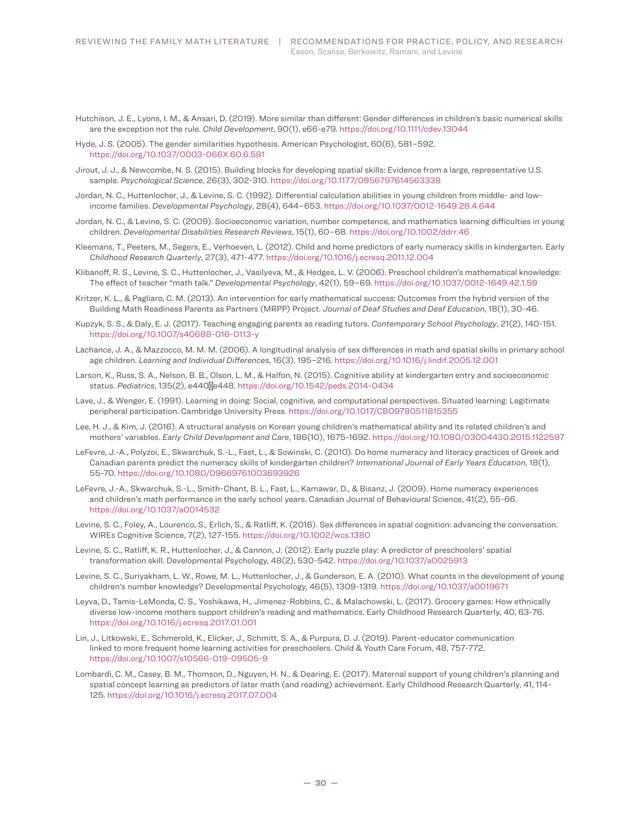- Hutchison, J. E., Lyons, I. M., & Ansari, D. (2019). More similar than different: Gender differences in children's basic numerical skills are the exception not the rule. *Child Development*, 90(1), e66-e79. https://doi.org/10.1111/cdev.13044
- Hyde, J. S. (2005). The gender similarities hypothesis. American Psychologist, 60(6), 581–592. https://doi.org/10.1037/0003-066X.60.6.581
- Jirout, J. J., & Newcombe, N. S. (2015). Building blocks for developing spatial skills: Evidence from a large, representative U.S. sample. *Psychological Science*, 26(3), 302-310. https://doi.org/10.1177/0956797614563338
- Jordan, N. C., Huttenlocher, J., & Levine, S. C. (1992). Differential calculation abilities in young children from middle- and lowincome families. *Developmental Psychology*, 28(4), 644–653. https://doi.org/10.1037/0012-1649.28.4.644
- Jordan, N. C., & Levine, S. C. (2009). Socioeconomic variation, number competence, and mathematics learning difficulties in young children. *Developmental Disabilities Research Reviews*, 15(1), 60–68. https://doi.org/10.1002/ddrr.46
- Kleemans, T., Peeters, M., Segers, E., Verhoeven, L. (2012). Child and home predictors of early numeracy skills in kindergarten. Early *Childhood Research Quarterly*, 27(3), 471-477. https://doi.org/10.1016/j.ecresq.2011.12.004
- Klibanoff, R. S., Levine, S. C., Huttenlocher, J., Vasilyeva, M., & Hedges, L. V. (2006). Preschool children's mathematical knowledge: The effect of teacher "math talk." *Developmental Psychology*, 42(1), 59–69. https://doi.org/10.1037/0012-1649.42.1.59
- Kritzer, K. L., & Pagliaro, C. M. (2013). An intervention for early mathematical success: Outcomes from the hybrid version of the Building Math Readiness Parents as Partners (MRPP) Project. *Journal of Deaf Studies and Deaf Education*, 18(1), 30-46.
- Kupzyk, S. S., & Daly, E. J. (2017). Teaching engaging parents as reading tutors. *Contemporary School Psychology*, 21(2), 140-151. https://doi.org/10.1007/s40688-016-0113-y
- Lachance, J. A., & Mazzocco, M. M. M. (2006). A longitudinal analysis of sex differences in math and spatial skills in primary school age children. *Learning and Individual Differences*, 16(3), 195–216. https://doi.org/10.1016/j.lindif.2005.12.001
- Larson, K., Russ, S. A., Nelson, B. B., Olson, L. M., & Halfon, N. (2015). Cognitive ability at kindergarten entry and socioeconomic status. *Pediatrics*, 135(2), e440‐e448. https://doi.org/10.1542/peds.2014-0434
- Lave, J., & Wenger, E. (1991). Learning in doing: Social, cognitive, and computational perspectives. Situated learning: Legitimate peripheral participation. Cambridge University Press. https://doi.org/10.1017/CBO9780511815355
- Lee, H. J., & Kim, J. (2016). A structural analysis on Korean young children's mathematical ability and its related children's and mothers' variables. *Early Child Development and Care*, 186(10), 1675-1692. https://doi.org/10.1080/03004430.2015.1122597
- LeFevre, J.-A., Polyzoi, E., Skwarchuk, S.-L., Fast, L., & Sowinski, C. (2010). Do home numeracy and literacy practices of Greek and Canadian parents predict the numeracy skills of kindergarten children? *International Journal of Early Years Education*, 18(1), 55-70. https://doi.org/10.1080/09669761003693926
- LeFevre, J.-A., Skwarchuk, S.-L., Smith-Chant, B. L., Fast, L., Kamawar, D., & Bisanz, J. (2009). Home numeracy experiences and children's math performance in the early school years. Canadian Journal of Behavioural Science, 41(2), 55-66. https://doi.org/10.1037/a0014532
- Levine, S. C., Foley, A., Lourenco, S., Erlich, S., & Ratliff, K. (2016). Sex differences in spatial cognition: advancing the conversation. WIREs Cognitive Science, 7(2), 127-155. https://doi.org/10.1002/wcs.1380
- Levine, S. C., Ratliff, K. R., Huttenlocher, J., & Cannon, J. (2012). Early puzzle play: A predictor of preschoolers' spatial transformation skill. Developmental Psychology, 48(2), 530-542. https://doi.org/10.1037/a0025913
- Levine, S. C., Suriyakham, L. W., Rowe, M. L., Huttenlocher, J., & Gunderson, E. A. (2010). What counts in the development of young children's number knowledge? Developmental Psychology, 46(5), 1309-1319. https://doi.org/10.1037/a0019671
- Leyva, D., Tamis-LeMonda, C. S., Yoshikawa, H., Jimenez-Robbins, C., & Malachowski, L. (2017). Grocery games: How ethnically diverse low-income mothers support children's reading and mathematics. Early Childhood Research Quarterly, 40, 63-76. https://doi.org/10.1016/j.ecresq.2017.01.001
- Lin, J., Litkowski, E., Schmerold, K., Elicker, J., Schmitt, S. A., & Purpura, D. J. (2019). Parent-educator communication linked to more frequent home learning activities for preschoolers. Child & Youth Care Forum, 48, 757-772. https://doi.org/10.1007/s10566-019-09505-9
- Lombardi, C. M., Casey, B. M., Thomson, D., Nguyen, H. N., & Dearing, E. (2017). Maternal support of young children's planning and spatial concept learning as predictors of later math (and reading) achievement. Early Childhood Research Quarterly, 41, 114-125. https://doi.org/10.1016/j.ecresq.2017.07.004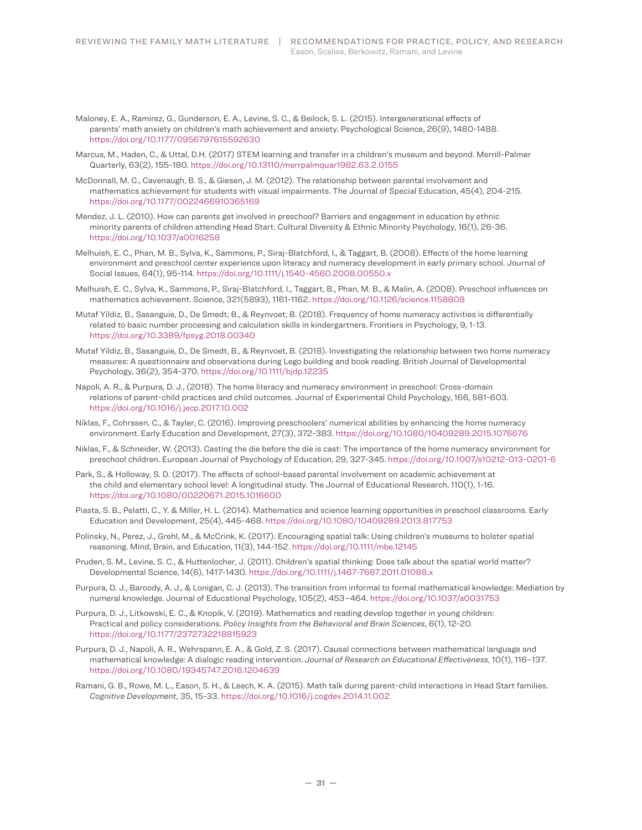- Maloney, E. A., Ramirez, G., Gunderson, E. A., Levine, S. C., & Beilock, S. L. (2015). Intergenerational effects of parents' math anxiety on children's math achievement and anxiety. Psychological Science, 26(9), 1480-1488. https://doi.org/10.1177/0956797615592630
- Marcus, M., Haden, C., & Uttal, D.H. (2017) STEM learning and transfer in a children's museum and beyond. Merrill-Palmer Quarterly, 63(2), 155-180. https://doi.org/10.13110/merrpalmquar1982.63.2.0155
- McDonnall, M. C., Cavenaugh, B. S., & Giesen, J. M. (2012). The relationship between parental involvement and mathematics achievement for students with visual impairments. The Journal of Special Education, 45(4), 204-215. https://doi.org/10.1177/0022466910365169
- Mendez, J. L. (2010). How can parents get involved in preschool? Barriers and engagement in education by ethnic minority parents of children attending Head Start. Cultural Diversity & Ethnic Minority Psychology, 16(1), 26-36. https://doi.org/10.1037/a0016258
- Melhuish, E. C., Phan, M. B., Sylva, K., Sammons, P., Siraj-Blatchford, I., & Taggart, B. (2008). Effects of the home learning environment and preschool center experience upon literacy and numeracy development in early primary school. Journal of Social Issues, 64(1), 95-114. https://doi.org/10.1111/j.1540-4560.2008.00550.x
- Melhuish, E. C., Sylva, K., Sammons, P., Siraj-Blatchford, I., Taggart, B., Phan, M. B., & Malin, A. (2008). Preschool influences on mathematics achievement. Science, 321(5893), 1161-1162. https://doi.org/10.1126/science.1158808
- Mutaf Yildiz, B., Sasanguie, D., De Smedt, B., & Reynvoet, B. (2018). Frequency of home numeracy activities is differentially related to basic number processing and calculation skills in kindergartners. Frontiers in Psychology, 9, 1-13. https://doi.org/10.3389/fpsyg.2018.00340
- Mutaf Yildiz, B., Sasanguie, D., De Smedt, B., & Reynvoet, B. (2018). Investigating the relationship between two home numeracy measures: A questionnaire and observations during Lego building and book reading. British Journal of Developmental Psychology, 36(2), 354-370. https://doi.org/10.1111/bjdp.12235
- Napoli, A. R., & Purpura, D. J., (2018). The home literacy and numeracy environment in preschool: Cross-domain relations of parent-child practices and child outcomes. Journal of Experimental Child Psychology, 166, 581-603. https://doi.org/10.1016/j.jecp.2017.10.002
- Niklas, F., Cohrssen, C., & Tayler, C. (2016). Improving preschoolers' numerical abilities by enhancing the home numeracy environment. Early Education and Development, 27(3), 372-383. https://doi.org/10.1080/10409289.2015.1076676
- Niklas, F., & Schneider, W. (2013). Casting the die before the die is cast: The importance of the home numeracy environment for preschool children. European Journal of Psychology of Education, 29, 327-345. https://doi.org/10.1007/s10212-013-0201-6
- Park, S., & Holloway, S. D. (2017). The effects of school-based parental involvement on academic achievement at the child and elementary school level: A longitudinal study. The Journal of Educational Research, 110(1), 1-16. https://doi.org/10.1080/00220671.2015.1016600
- Piasta, S. B., Pelatti, C., Y. & Miller, H. L. (2014). Mathematics and science learning opportunities in preschool classrooms. Early Education and Development, 25(4), 445-468. https://doi.org/10.1080/10409289.2013.817753
- Polinsky, N., Perez, J., Grehl, M., & McCrink, K. (2017). Encouraging spatial talk: Using children's museums to bolster spatial reasoning. Mind, Brain, and Education, 11(3), 144-152. https://doi.org/10.1111/mbe.12145
- Pruden, S. M., Levine, S. C., & Huttenlocher, J. (2011). Children's spatial thinking: Does talk about the spatial world matter? Developmental Science, 14(6), 1417-1430. https://doi.org/10.1111/j.1467-7687.2011.01088.x
- Purpura, D. J., Baroody, A. J., & Lonigan, C. J. (2013). The transition from informal to formal mathematical knowledge: Mediation by numeral knowledge. Journal of Educational Psychology, 105(2), 453–464. https://doi.org/10.1037/a0031753
- Purpura, D. J., Litkowski, E. C., & Knopik, V. (2019). Mathematics and reading develop together in young children: Practical and policy considerations. *Policy Insights from the Behavioral and Brain Sciences*, 6(1), 12-20. https://doi.org/10.1177/2372732218815923
- Purpura, D. J., Napoli, A. R., Wehrspann, E. A., & Gold, Z. S. (2017). Causal connections between mathematical language and mathematical knowledge: A dialogic reading intervention. *Journal of Research on Educational Effectiveness*, 10(1), 116–137. https://doi.org/10.1080/19345747.2016.1204639
- Ramani, G. B., Rowe, M. L., Eason, S. H., & Leech, K. A. (2015). Math talk during parent-child interactions in Head Start families. *Cognitive Development*, 35, 15-33. https://doi.org/10.1016/j.cogdev.2014.11.002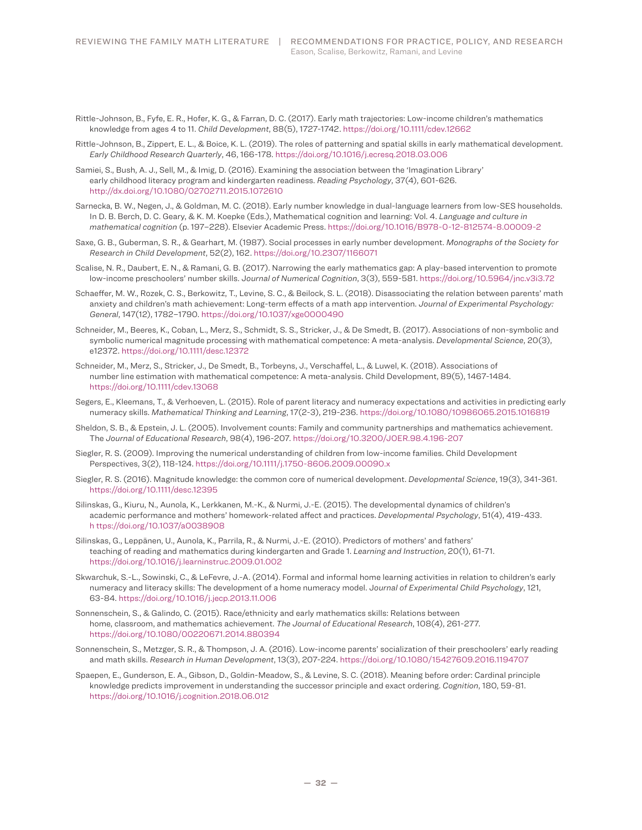- Rittle-Johnson, B., Fyfe, E. R., Hofer, K. G., & Farran, D. C. (2017). Early math trajectories: Low-income children's mathematics knowledge from ages 4 to 11. *Child Development*, 88(5), 1727-1742. https://doi.org/10.1111/cdev.12662
- Rittle-Johnson, B., Zippert, E. L., & Boice, K. L. (2019). The roles of patterning and spatial skills in early mathematical development. *Early Childhood Research Quarterly*, 46, 166-178. https://doi.org/10.1016/j.ecresq.2018.03.006
- Samiei, S., Bush, A. J., Sell, M., & Imig, D. (2016). Examining the association between the 'Imagination Library' early childhood literacy program and kindergarten readiness. *Reading Psychology*, 37(4), 601-626. http://dx.doi.org/10.1080/02702711.2015.1072610
- Sarnecka, B. W., Negen, J., & Goldman, M. C. (2018). Early number knowledge in dual-language learners from low-SES households. In D. B. Berch, D. C. Geary, & K. M. Koepke (Eds.), Mathematical cognition and learning: Vol. 4. *Language and culture in mathematical cognition* (p. 197–228). Elsevier Academic Press. https://doi.org/10.1016/B978-0-12-812574-8.00009-2
- Saxe, G. B., Guberman, S. R., & Gearhart, M. (1987). Social processes in early number development. *Monographs of the Society for Research in Child Development*, 52(2), 162. https://doi.org/10.2307/1166071
- Scalise, N. R., Daubert, E. N., & Ramani, G. B. (2017). Narrowing the early mathematics gap: A play-based intervention to promote low-income preschoolers' number skills. J*ournal of Numerical Cognition*, 3(3), 559-581. https://doi.org/10.5964/jnc.v3i3.72
- Schaeffer, M. W., Rozek, C. S., Berkowitz, T., Levine, S. C., & Beilock, S. L. (2018). Disassociating the relation between parents' math anxiety and children's math achievement: Long-term effects of a math app intervention. *Journal of Experimental Psychology: General*, 147(12), 1782–1790. https://doi.org/10.1037/xge0000490
- Schneider, M., Beeres, K., Coban, L., Merz, S., Schmidt, S. S., Stricker, J., & De Smedt, B. (2017). Associations of non-symbolic and symbolic numerical magnitude processing with mathematical competence: A meta-analysis. *Developmental Science*, 20(3), e12372. https://doi.org/10.1111/desc.12372
- Schneider, M., Merz, S., Stricker, J., De Smedt, B., Torbeyns, J., Verschaffel, L., & Luwel, K. (2018). Associations of number line estimation with mathematical competence: A meta-analysis. Child Development, 89(5), 1467-1484. https://doi.org/10.1111/cdev.13068
- Segers, E., Kleemans, T., & Verhoeven, L. (2015). Role of parent literacy and numeracy expectations and activities in predicting early numeracy skills. *Mathematical Thinking and Learning*, 17(2-3), 219-236. https://doi.org/10.1080/10986065.2015.1016819
- Sheldon, S. B., & Epstein, J. L. (2005). Involvement counts: Family and community partnerships and mathematics achievement. The *Journal of Educational Research*, 98(4), 196-207. https://doi.org/10.3200/JOER.98.4.196-207
- Siegler, R. S. (2009). Improving the numerical understanding of children from low-income families. Child Development Perspectives, 3(2), 118-124. https://doi.org/10.1111/j.1750-8606.2009.00090.x
- Siegler, R. S. (2016). Magnitude knowledge: the common core of numerical development. *Developmental Science*, 19(3), 341-361. https://doi.org/10.1111/desc.12395
- Silinskas, G., Kiuru, N., Aunola, K., Lerkkanen, M.-K., & Nurmi, J.-E. (2015). The developmental dynamics of children's academic performance and mothers' homework-related affect and practices. *Developmental Psychology*, 51(4), 419-433. h ttps://doi.org/10.1037/a0038908
- Silinskas, G., Leppänen, U., Aunola, K., Parrila, R., & Nurmi, J.-E. (2010). Predictors of mothers' and fathers' teaching of reading and mathematics during kindergarten and Grade 1. *Learning and Instruction*, 20(1), 61-71. https://doi.org/10.1016/j.learninstruc.2009.01.002
- Skwarchuk, S.-L., Sowinski, C., & LeFevre, J.-A. (2014). Formal and informal home learning activities in relation to children's early numeracy and literacy skills: The development of a home numeracy model. J*ournal of Experimental Child Psychology*, 121, 63-84. https://doi.org/10.1016/j.jecp.2013.11.006
- Sonnenschein, S., & Galindo, C. (2015). Race/ethnicity and early mathematics skills: Relations between home, classroom, and mathematics achievement. *The Journal of Educational Research*, 108(4), 261-277. https://doi.org/10.1080/00220671.2014.880394
- Sonnenschein, S., Metzger, S. R., & Thompson, J. A. (2016). Low-income parents' socialization of their preschoolers' early reading and math skills. *Research in Human Development*, 13(3), 207-224. https://doi.org/10.1080/15427609.2016.1194707
- Spaepen, E., Gunderson, E. A., Gibson, D., Goldin-Meadow, S., & Levine, S. C. (2018). Meaning before order: Cardinal principle knowledge predicts improvement in understanding the successor principle and exact ordering. *Cognition*, 180, 59-81. https://doi.org/10.1016/j.cognition.2018.06.012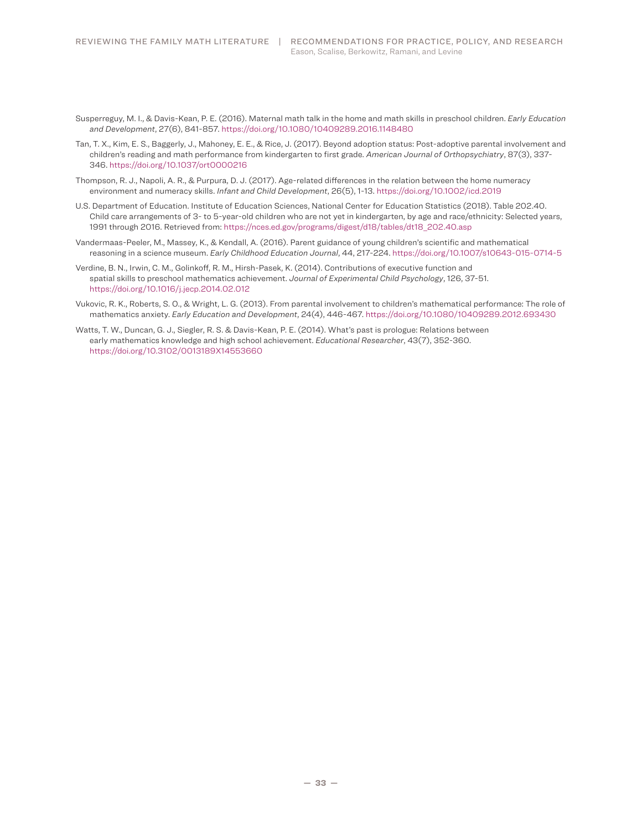- Susperreguy, M. I., & Davis-Kean, P. E. (2016). Maternal math talk in the home and math skills in preschool children. *Early Education and Development*, 27(6), 841-857. https://doi.org/10.1080/10409289.2016.1148480
- Tan, T. X., Kim, E. S., Baggerly, J., Mahoney, E. E., & Rice, J. (2017). Beyond adoption status: Post-adoptive parental involvement and children's reading and math performance from kindergarten to first grade. *American Journal of Orthopsychiatry*, 87(3), 337-346. https://doi.org/10.1037/ort0000216
- Thompson, R. J., Napoli, A. R., & Purpura, D. J. (2017). Age-related differences in the relation between the home numeracy environment and numeracy skills. *Infant and Child Development*, 26(5), 1-13. https://doi.org/10.1002/icd.2019
- U.S. Department of Education. Institute of Education Sciences, National Center for Education Statistics (2018). Table 202.40. Child care arrangements of 3- to 5-year-old children who are not yet in kindergarten, by age and race/ethnicity: Selected years, 1991 through 2016. Retrieved from: https://nces.ed.gov/programs/digest/d18/tables/dt18\_202.40.asp
- Vandermaas-Peeler, M., Massey, K., & Kendall, A. (2016). Parent guidance of young children's scientific and mathematical reasoning in a science museum. *Early Childhood Education Journal*, 44, 217-224. https://doi.org/10.1007/s10643-015-0714-5
- Verdine, B. N., Irwin, C. M., Golinkoff, R. M., Hirsh-Pasek, K. (2014). Contributions of executive function and spatial skills to preschool mathematics achievement. *Journal of Experimental Child Psychology*, 126, 37-51. https://doi.org/10.1016/j.jecp.2014.02.012
- Vukovic, R. K., Roberts, S. O., & Wright, L. G. (2013). From parental involvement to children's mathematical performance: The role of mathematics anxiety. *Early Education and Development*, 24(4), 446-467. https://doi.org/10.1080/10409289.2012.693430
- Watts, T. W., Duncan, G. J., Siegler, R. S. & Davis-Kean, P. E. (2014). What's past is prologue: Relations between early mathematics knowledge and high school achievement. *Educational Researcher*, 43(7), 352-360. https://doi.org/10.3102/0013189X14553660